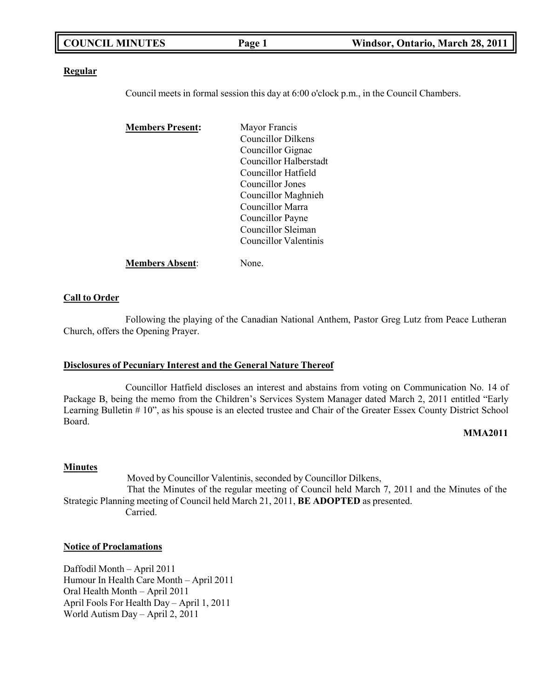| <b>COUNCIL MINUTES</b> | Page 1 | Windsor, Ontario, March 28, 2011 |
|------------------------|--------|----------------------------------|
|                        |        |                                  |

#### **Regular**

Council meets in formal session this day at 6:00 o'clock p.m., in the Council Chambers.

| <b>Members Present:</b> | Mayor Francis          |
|-------------------------|------------------------|
|                         | Councillor Dilkens     |
|                         | Councillor Gignac      |
|                         | Councillor Halberstadt |
|                         | Councillor Hatfield    |
|                         | Councillor Jones       |
|                         | Councillor Maghnieh    |
|                         | Councillor Marra       |
|                         | Councillor Payne       |
|                         | Councillor Sleiman     |
|                         | Councillor Valentinis  |
| <b>Members Absent:</b>  | None.                  |

#### **Call to Order**

Following the playing of the Canadian National Anthem, Pastor Greg Lutz from Peace Lutheran Church, offers the Opening Prayer.

#### **Disclosures of Pecuniary Interest and the General Nature Thereof**

Councillor Hatfield discloses an interest and abstains from voting on Communication No. 14 of Package B, being the memo from the Children's Services System Manager dated March 2, 2011 entitled "Early Learning Bulletin # 10", as his spouse is an elected trustee and Chair of the Greater Essex County District School Board.

#### **MMA2011**

#### **Minutes**

Moved by Councillor Valentinis, seconded by Councillor Dilkens, That the Minutes of the regular meeting of Council held March 7, 2011 and the Minutes of the Strategic Planning meeting of Council held March 21, 2011, **BE ADOPTED** as presented. Carried.

#### **Notice of Proclamations**

Daffodil Month – April 2011 Humour In Health Care Month – April 2011 Oral Health Month – April 2011 April Fools For Health Day – April 1, 2011 World Autism Day – April 2, 2011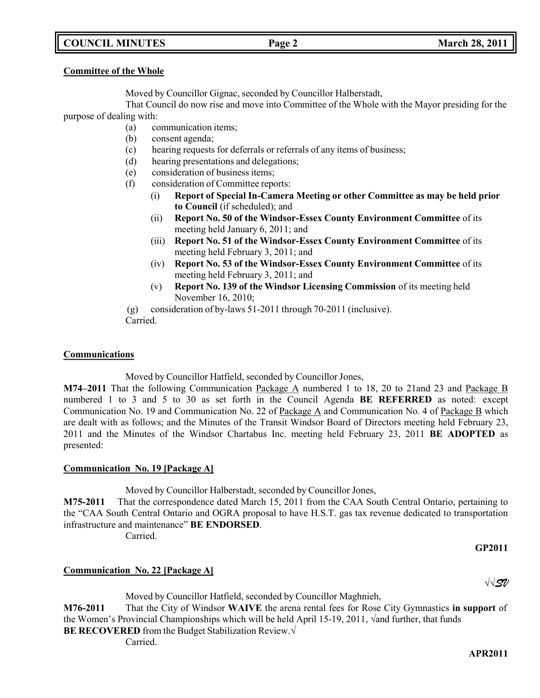## **COUNCIL MINUTES Page 2 March 28, 2011**

### **Committee of the Whole**

Moved by Councillor Gignac, seconded by Councillor Halberstadt,

That Council do now rise and move into Committee of the Whole with the Mayor presiding for the purpose of dealing with:

- (a) communication items;
- (b) consent agenda;
- (c) hearing requests for deferrals or referrals of any items of business;
- (d) hearing presentations and delegations;
- (e) consideration of business items;
- (f) consideration of Committee reports:
	- (i) **Report of Special In-Camera Meeting or other Committee as may be held prior to Council** (if scheduled); and
	- (ii) **Report No. 50 of the Windsor-Essex County Environment Committee** of its meeting held January 6, 2011; and
	- (iii) **Report No. 51 of the Windsor-Essex County Environment Committee** of its meeting held February 3, 2011; and
	- (iv) **Report No. 53 of the Windsor-Essex County Environment Committee** of its meeting held February 3, 2011; and
	- (v) **Report No. 139 of the Windsor Licensing Commission** of its meeting held November 16, 2010;

(g) consideration of by-laws 51-2011 through 70-2011 (inclusive).

Carried.

### **Communications**

Moved by Councillor Hatfield, seconded by Councillor Jones,

**M74–2011** That the following Communication Package A numbered 1 to 18, 20 to 21and 23 and Package B numbered 1 to 3 and 5 to 30 as set forth in the Council Agenda **BE REFERRED** as noted: except Communication No. 19 and Communication No. 22 of Package A and Communication No. 4 of Package B which are dealt with as follows; and the Minutes of the Transit Windsor Board of Directors meeting held February 23, 2011 and the Minutes of the Windsor Chartabus Inc. meeting held February 23, 2011 **BE ADOPTED** as presented:

### **Communication No. 19 [Package A]**

Moved by Councillor Halberstadt, seconded by Councillor Jones,

**M75-2011** That the correspondence dated March 15, 2011 from the CAA South Central Ontario, pertaining to the "CAA South Central Ontario and OGRA proposal to have H.S.T. gas tax revenue dedicated to transportation infrastructure and maintenance" **BE ENDORSED**.

Carried.

### **GP2011**

√√*SV*

### **Communication No. 22 [Package A]**

Moved by Councillor Hatfield, seconded by Councillor Maghnieh, **M76-2011** That the City of Windsor **WAIVE** the arena rental fees for Rose City Gymnastics **in support** of the Women's Provincial Championships which will be held April 15-19, 2011, √and further, that funds **BE RECOVERED** from the Budget Stabilization Review.√

Carried.

#### **APR2011**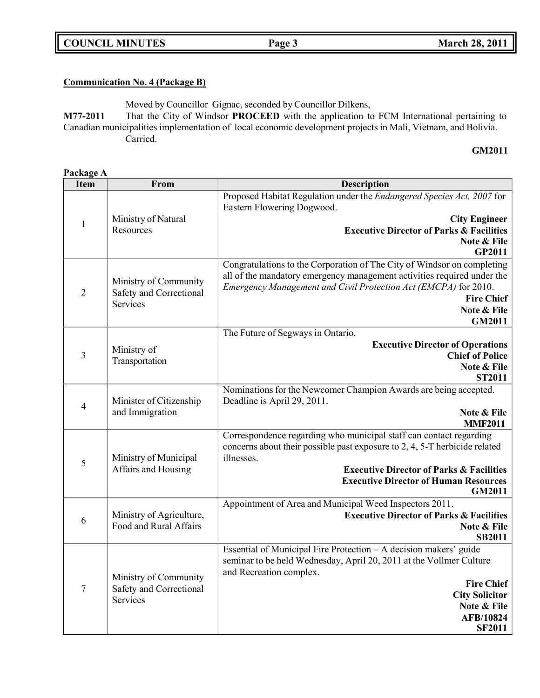## **COUNCIL MINUTES Page 3 March 28, 2011**

## **Communication No. 4 (Package B)**

Moved by Councillor Gignac, seconded by Councillor Dilkens,

**M77-2011** That the City of Windsor **PROCEED** with the application to FCM International pertaining to Canadian municipalities implementation of local economic development projects in Mali, Vietnam, and Bolivia. Carried.

## **GM2011**

| Package A      |                                              |                                                                                                              |  |  |
|----------------|----------------------------------------------|--------------------------------------------------------------------------------------------------------------|--|--|
| <b>Item</b>    | <b>From</b>                                  | <b>Description</b>                                                                                           |  |  |
|                |                                              | Proposed Habitat Regulation under the <i>Endangered Species Act</i> , 2007 for<br>Eastern Flowering Dogwood. |  |  |
| $\mathbf{1}$   | Ministry of Natural                          | <b>City Engineer</b>                                                                                         |  |  |
|                | Resources                                    | <b>Executive Director of Parks &amp; Facilities</b>                                                          |  |  |
|                |                                              | Note & File<br><b>GP2011</b>                                                                                 |  |  |
|                |                                              | Congratulations to the Corporation of The City of Windsor on completing                                      |  |  |
|                | Ministry of Community                        | all of the mandatory emergency management activities required under the                                      |  |  |
| $\overline{2}$ | Safety and Correctional                      | Emergency Management and Civil Protection Act (EMCPA) for 2010.<br><b>Fire Chief</b>                         |  |  |
|                | Services                                     | Note & File                                                                                                  |  |  |
|                |                                              | <b>GM2011</b>                                                                                                |  |  |
|                |                                              | The Future of Segways in Ontario.                                                                            |  |  |
|                | Ministry of                                  | <b>Executive Director of Operations</b>                                                                      |  |  |
| 3              | Transportation                               | <b>Chief of Police</b>                                                                                       |  |  |
|                |                                              | Note & File                                                                                                  |  |  |
|                |                                              | <b>ST2011</b>                                                                                                |  |  |
|                | Minister of Citizenship<br>and Immigration   | Nominations for the Newcomer Champion Awards are being accepted.<br>Deadline is April 29, 2011.              |  |  |
| $\overline{4}$ |                                              | Note & File                                                                                                  |  |  |
|                |                                              | <b>MMF2011</b>                                                                                               |  |  |
|                |                                              | Correspondence regarding who municipal staff can contact regarding                                           |  |  |
|                | Ministry of Municipal<br>Affairs and Housing | concerns about their possible past exposure to 2, 4, 5-T herbicide related                                   |  |  |
| 5              |                                              | illnesses.                                                                                                   |  |  |
|                |                                              | <b>Executive Director of Parks &amp; Facilities</b>                                                          |  |  |
|                |                                              | <b>Executive Director of Human Resources</b><br><b>GM2011</b>                                                |  |  |
|                |                                              | Appointment of Area and Municipal Weed Inspectors 2011.                                                      |  |  |
| 6              | Ministry of Agriculture,                     | <b>Executive Director of Parks &amp; Facilities</b>                                                          |  |  |
|                | Food and Rural Affairs                       | Note & File                                                                                                  |  |  |
|                |                                              | <b>SB2011</b>                                                                                                |  |  |
|                |                                              | Essential of Municipal Fire Protection - A decision makers' guide                                            |  |  |
|                |                                              | seminar to be held Wednesday, April 20, 2011 at the Vollmer Culture<br>and Recreation complex.               |  |  |
| 7              | Ministry of Community                        | <b>Fire Chief</b>                                                                                            |  |  |
|                | Safety and Correctional                      | <b>City Solicitor</b>                                                                                        |  |  |
|                | Services                                     | Note & File                                                                                                  |  |  |
|                |                                              | <b>AFB/10824</b>                                                                                             |  |  |
|                |                                              | <b>SF2011</b>                                                                                                |  |  |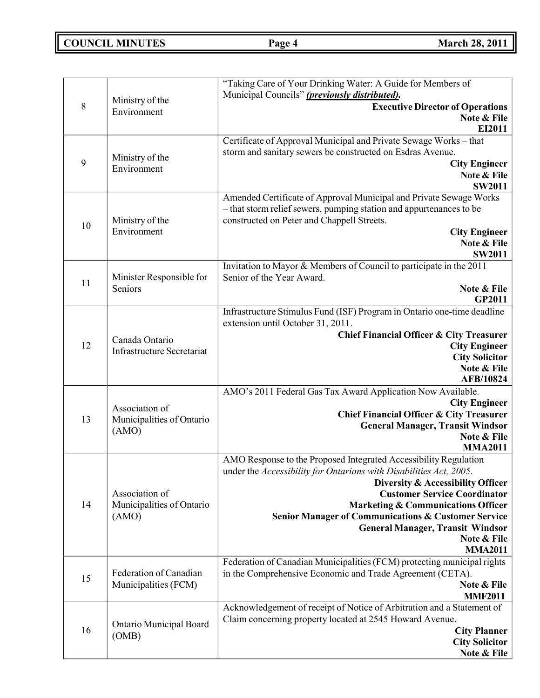**COUNCIL MINUTES Page 4 March 28, 2011**

| 8  | Ministry of the                                | "Taking Care of Your Drinking Water: A Guide for Members of<br>Municipal Councils" (previously distributed).<br><b>Executive Director of Operations</b> |
|----|------------------------------------------------|---------------------------------------------------------------------------------------------------------------------------------------------------------|
|    | Environment                                    | Note & File<br>EI2011                                                                                                                                   |
|    |                                                | Certificate of Approval Municipal and Private Sewage Works - that                                                                                       |
|    | Ministry of the                                | storm and sanitary sewers be constructed on Esdras Avenue.                                                                                              |
| 9  | Environment                                    | <b>City Engineer</b>                                                                                                                                    |
|    |                                                | Note & File<br><b>SW2011</b>                                                                                                                            |
|    |                                                | Amended Certificate of Approval Municipal and Private Sewage Works                                                                                      |
|    |                                                | - that storm relief sewers, pumping station and appurtenances to be                                                                                     |
| 10 | Ministry of the                                | constructed on Peter and Chappell Streets.                                                                                                              |
|    | Environment                                    | <b>City Engineer</b>                                                                                                                                    |
|    |                                                | Note & File                                                                                                                                             |
|    |                                                | <b>SW2011</b>                                                                                                                                           |
|    | Minister Responsible for                       | Invitation to Mayor & Members of Council to participate in the 2011<br>Senior of the Year Award.                                                        |
| 11 | Seniors                                        | Note & File                                                                                                                                             |
|    |                                                | <b>GP2011</b>                                                                                                                                           |
|    |                                                | Infrastructure Stimulus Fund (ISF) Program in Ontario one-time deadline                                                                                 |
|    |                                                | extension until October 31, 2011.                                                                                                                       |
|    | Canada Ontario                                 | Chief Financial Officer & City Treasurer                                                                                                                |
| 12 | <b>Infrastructure Secretariat</b>              | <b>City Engineer</b><br><b>City Solicitor</b>                                                                                                           |
|    |                                                | Note & File                                                                                                                                             |
|    |                                                | AFB/10824                                                                                                                                               |
|    |                                                | AMO's 2011 Federal Gas Tax Award Application Now Available.                                                                                             |
|    | Association of                                 | <b>City Engineer</b>                                                                                                                                    |
| 13 | Municipalities of Ontario                      | <b>Chief Financial Officer &amp; City Treasurer</b>                                                                                                     |
|    | (AMO)                                          | <b>General Manager, Transit Windsor</b><br>Note & File                                                                                                  |
|    |                                                | <b>MMA2011</b>                                                                                                                                          |
|    |                                                | AMO Response to the Proposed Integrated Accessibility Regulation                                                                                        |
|    |                                                | under the Accessibility for Ontarians with Disabilities Act, 2005.                                                                                      |
|    |                                                | Diversity & Accessibility Officer                                                                                                                       |
| 14 | Association of                                 | <b>Customer Service Coordinator</b>                                                                                                                     |
|    | Municipalities of Ontario<br>(AMO)             | <b>Marketing &amp; Communications Officer</b><br><b>Senior Manager of Communications &amp; Customer Service</b>                                         |
|    |                                                | <b>General Manager, Transit Windsor</b>                                                                                                                 |
|    |                                                | Note & File                                                                                                                                             |
|    |                                                | <b>MMA2011</b>                                                                                                                                          |
|    |                                                | Federation of Canadian Municipalities (FCM) protecting municipal rights                                                                                 |
| 15 | Federation of Canadian<br>Municipalities (FCM) | in the Comprehensive Economic and Trade Agreement (CETA).<br>Note & File                                                                                |
|    |                                                | <b>MMF2011</b>                                                                                                                                          |
|    |                                                | Acknowledgement of receipt of Notice of Arbitration and a Statement of                                                                                  |
|    |                                                | Claim concerning property located at 2545 Howard Avenue.                                                                                                |
| 16 | Ontario Municipal Board<br>(OMB)               | <b>City Planner</b>                                                                                                                                     |
|    |                                                | <b>City Solicitor</b>                                                                                                                                   |
|    |                                                | Note & File                                                                                                                                             |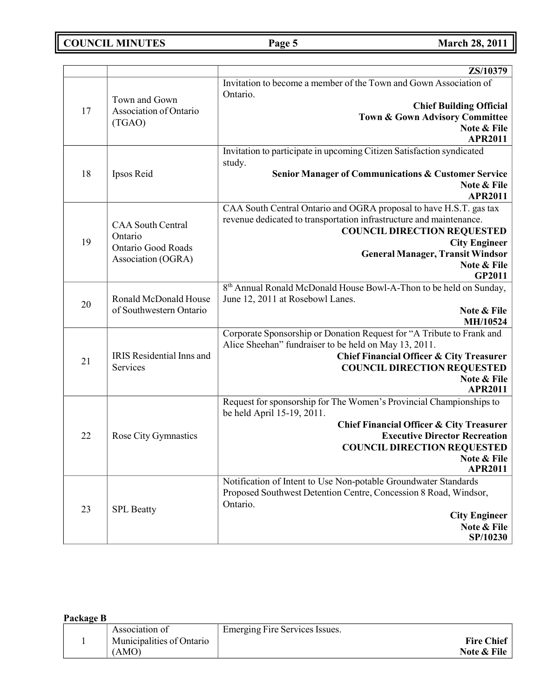**COUNCIL MINUTES Page 5 March 28, 2011**

|    |                                                  | ZS/10379                                                                 |
|----|--------------------------------------------------|--------------------------------------------------------------------------|
|    |                                                  | Invitation to become a member of the Town and Gown Association of        |
|    | Town and Gown                                    | Ontario.                                                                 |
| 17 | Association of Ontario                           | <b>Chief Building Official</b>                                           |
|    | (TGAO)                                           | <b>Town &amp; Gown Advisory Committee</b>                                |
|    |                                                  | Note & File                                                              |
|    |                                                  | <b>APR2011</b>                                                           |
|    |                                                  | Invitation to participate in upcoming Citizen Satisfaction syndicated    |
| 18 | Ipsos Reid                                       | study.<br><b>Senior Manager of Communications &amp; Customer Service</b> |
|    |                                                  | Note & File                                                              |
|    |                                                  | <b>APR2011</b>                                                           |
|    |                                                  | CAA South Central Ontario and OGRA proposal to have H.S.T. gas tax       |
|    |                                                  | revenue dedicated to transportation infrastructure and maintenance.      |
|    | <b>CAA South Central</b>                         | <b>COUNCIL DIRECTION REQUESTED</b>                                       |
| 19 | Ontario<br><b>Ontario Good Roads</b>             | <b>City Engineer</b>                                                     |
|    | Association (OGRA)                               | <b>General Manager, Transit Windsor</b>                                  |
|    |                                                  | Note & File                                                              |
|    |                                                  | GP2011                                                                   |
|    |                                                  | 8th Annual Ronald McDonald House Bowl-A-Thon to be held on Sunday,       |
| 20 | Ronald McDonald House<br>of Southwestern Ontario | June 12, 2011 at Rosebowl Lanes.                                         |
|    |                                                  | Note & File<br>MH/10524                                                  |
|    |                                                  | Corporate Sponsorship or Donation Request for "A Tribute to Frank and    |
|    |                                                  | Alice Sheehan" fundraiser to be held on May 13, 2011.                    |
|    | IRIS Residential Inns and                        | <b>Chief Financial Officer &amp; City Treasurer</b>                      |
| 21 | Services                                         | <b>COUNCIL DIRECTION REQUESTED</b>                                       |
|    |                                                  | Note & File                                                              |
|    |                                                  | <b>APR2011</b>                                                           |
|    |                                                  | Request for sponsorship for The Women's Provincial Championships to      |
|    |                                                  | be held April 15-19, 2011.                                               |
|    |                                                  | <b>Chief Financial Officer &amp; City Treasurer</b>                      |
| 22 | Rose City Gymnastics                             | <b>Executive Director Recreation</b>                                     |
|    |                                                  | <b>COUNCIL DIRECTION REQUESTED</b>                                       |
|    |                                                  | Note & File<br><b>APR2011</b>                                            |
|    |                                                  | Notification of Intent to Use Non-potable Groundwater Standards          |
| 23 |                                                  | Proposed Southwest Detention Centre, Concession 8 Road, Windsor,         |
|    |                                                  | Ontario.                                                                 |
|    | <b>SPL</b> Beatty                                | <b>City Engineer</b>                                                     |
|    |                                                  | Note & File                                                              |
|    |                                                  | SP/10230                                                                 |

| Package B |                           |                                |                   |
|-----------|---------------------------|--------------------------------|-------------------|
|           | Association of            | Emerging Fire Services Issues. |                   |
|           | Municipalities of Ontario |                                | <b>Fire Chief</b> |
|           | (AMO)                     |                                | Note & File       |
|           |                           |                                |                   |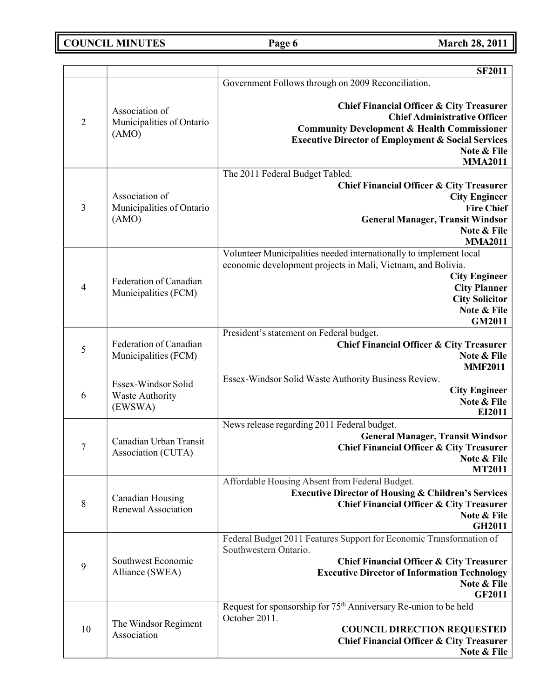# **COUNCIL MINUTES Page 6 March 28, 2011**

|                |                                                      | <b>SF2011</b>                                                                                                                                                                                                                                          |
|----------------|------------------------------------------------------|--------------------------------------------------------------------------------------------------------------------------------------------------------------------------------------------------------------------------------------------------------|
|                |                                                      | Government Follows through on 2009 Reconciliation.                                                                                                                                                                                                     |
| $\overline{2}$ | Association of<br>Municipalities of Ontario<br>(AMO) | <b>Chief Financial Officer &amp; City Treasurer</b><br><b>Chief Administrative Officer</b><br><b>Community Development &amp; Health Commissioner</b><br><b>Executive Director of Employment &amp; Social Services</b><br>Note & File<br><b>MMA2011</b> |
| 3              | Association of<br>Municipalities of Ontario<br>(AMO) | The 2011 Federal Budget Tabled.<br><b>Chief Financial Officer &amp; City Treasurer</b><br><b>City Engineer</b><br><b>Fire Chief</b><br><b>General Manager, Transit Windsor</b><br>Note & File<br><b>MMA2011</b>                                        |
| $\overline{4}$ | Federation of Canadian<br>Municipalities (FCM)       | Volunteer Municipalities needed internationally to implement local<br>economic development projects in Mali, Vietnam, and Bolivia.<br><b>City Engineer</b><br><b>City Planner</b><br><b>City Solicitor</b><br>Note & File<br><b>GM2011</b>             |
| 5              | Federation of Canadian<br>Municipalities (FCM)       | President's statement on Federal budget.<br><b>Chief Financial Officer &amp; City Treasurer</b><br>Note & File<br><b>MMF2011</b>                                                                                                                       |
| 6              | Essex-Windsor Solid<br>Waste Authority<br>(EWSWA)    | Essex-Windsor Solid Waste Authority Business Review.<br><b>City Engineer</b><br>Note & File<br>EI2011                                                                                                                                                  |
| 7              | Canadian Urban Transit<br>Association (CUTA)         | News release regarding 2011 Federal budget.<br><b>General Manager, Transit Windsor</b><br><b>Chief Financial Officer &amp; City Treasurer</b><br>Note & File<br><b>MT2011</b>                                                                          |
| 8              | Canadian Housing<br>Renewal Association              | Affordable Housing Absent from Federal Budget.<br><b>Executive Director of Housing &amp; Children's Services</b><br><b>Chief Financial Officer &amp; City Treasurer</b><br>Note & File<br><b>GH2011</b>                                                |
| 9              | Southwest Economic<br>Alliance (SWEA)                | Federal Budget 2011 Features Support for Economic Transformation of<br>Southwestern Ontario.<br><b>Chief Financial Officer &amp; City Treasurer</b><br><b>Executive Director of Information Technology</b><br>Note & File<br><b>GF2011</b>             |
| 10             | The Windsor Regiment<br>Association                  | Request for sponsorship for 75 <sup>th</sup> Anniversary Re-union to be held<br>October 2011.<br><b>COUNCIL DIRECTION REQUESTED</b><br><b>Chief Financial Officer &amp; City Treasurer</b><br>Note & File                                              |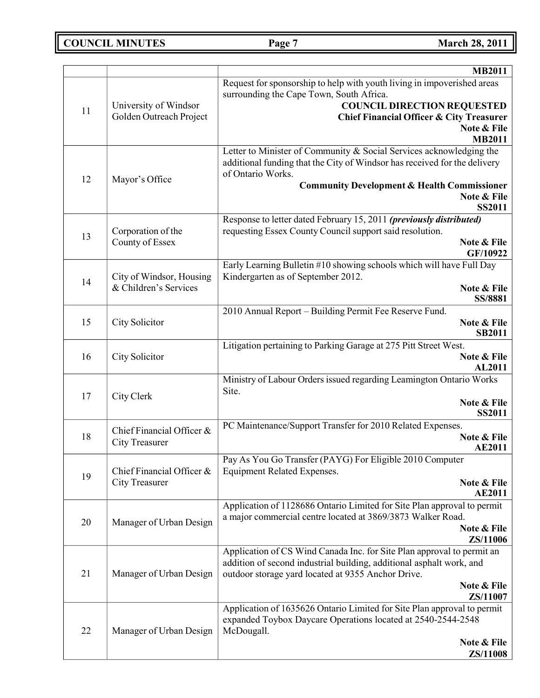**COUNCIL MINUTES Page 7 March 28, 2011**

| Request for sponsorship to help with youth living in impoverished areas<br>surrounding the Cape Town, South Africa.<br><b>COUNCIL DIRECTION REQUESTED</b><br>University of Windsor<br>11<br>Golden Outreach Project<br><b>Chief Financial Officer &amp; City Treasurer</b><br>Note & File<br><b>MB2011</b><br>Letter to Minister of Community & Social Services acknowledging the<br>additional funding that the City of Windsor has received for the delivery<br>of Ontario Works.<br>12<br>Mayor's Office<br><b>Community Development &amp; Health Commissioner</b><br>Note & File<br><b>SS2011</b><br>Response to letter dated February 15, 2011 (previously distributed)<br>requesting Essex County Council support said resolution.<br>Corporation of the<br>13<br>County of Essex<br>Note & File<br>GF/10922<br>Early Learning Bulletin #10 showing schools which will have Full Day<br>City of Windsor, Housing<br>Kindergarten as of September 2012.<br>14<br>& Children's Services<br>Note & File<br>SS/8881<br>2010 Annual Report - Building Permit Fee Reserve Fund.<br>15<br>City Solicitor<br>Note & File<br><b>SB2011</b><br>Litigation pertaining to Parking Garage at 275 Pitt Street West.<br>16<br>City Solicitor<br>Note & File<br>AL2011<br>Ministry of Labour Orders issued regarding Leamington Ontario Works<br>Site.<br>17<br>City Clerk<br>Note & File<br><b>SS2011</b><br>PC Maintenance/Support Transfer for 2010 Related Expenses.<br>Chief Financial Officer &<br>18<br>Note & File<br><b>City Treasurer</b><br><b>AE2011</b><br>Pay As You Go Transfer (PAYG) For Eligible 2010 Computer<br>Chief Financial Officer &<br><b>Equipment Related Expenses.</b><br>19<br><b>City Treasurer</b><br>Note & File<br><b>AE2011</b><br>Application of 1128686 Ontario Limited for Site Plan approval to permit<br>a major commercial centre located at 3869/3873 Walker Road.<br>20<br>Manager of Urban Design<br>Note & File<br>ZS/11006<br>Application of CS Wind Canada Inc. for Site Plan approval to permit an<br>addition of second industrial building, additional asphalt work, and<br>21<br>Manager of Urban Design<br>outdoor storage yard located at 9355 Anchor Drive.<br>Note & File<br>ZS/11007<br>Application of 1635626 Ontario Limited for Site Plan approval to permit<br>expanded Toybox Daycare Operations located at 2540-2544-2548<br>22<br>Manager of Urban Design<br>McDougall.<br>Note & File<br>ZS/11008 |  | <b>MB2011</b> |
|---------------------------------------------------------------------------------------------------------------------------------------------------------------------------------------------------------------------------------------------------------------------------------------------------------------------------------------------------------------------------------------------------------------------------------------------------------------------------------------------------------------------------------------------------------------------------------------------------------------------------------------------------------------------------------------------------------------------------------------------------------------------------------------------------------------------------------------------------------------------------------------------------------------------------------------------------------------------------------------------------------------------------------------------------------------------------------------------------------------------------------------------------------------------------------------------------------------------------------------------------------------------------------------------------------------------------------------------------------------------------------------------------------------------------------------------------------------------------------------------------------------------------------------------------------------------------------------------------------------------------------------------------------------------------------------------------------------------------------------------------------------------------------------------------------------------------------------------------------------------------------------------------------------------------------------------------------------------------------------------------------------------------------------------------------------------------------------------------------------------------------------------------------------------------------------------------------------------------------------------------------------------------------------------------------------------------------------------------------------------------------------------------------------------------------------------------------|--|---------------|
|                                                                                                                                                                                                                                                                                                                                                                                                                                                                                                                                                                                                                                                                                                                                                                                                                                                                                                                                                                                                                                                                                                                                                                                                                                                                                                                                                                                                                                                                                                                                                                                                                                                                                                                                                                                                                                                                                                                                                                                                                                                                                                                                                                                                                                                                                                                                                                                                                                                         |  |               |
|                                                                                                                                                                                                                                                                                                                                                                                                                                                                                                                                                                                                                                                                                                                                                                                                                                                                                                                                                                                                                                                                                                                                                                                                                                                                                                                                                                                                                                                                                                                                                                                                                                                                                                                                                                                                                                                                                                                                                                                                                                                                                                                                                                                                                                                                                                                                                                                                                                                         |  |               |
|                                                                                                                                                                                                                                                                                                                                                                                                                                                                                                                                                                                                                                                                                                                                                                                                                                                                                                                                                                                                                                                                                                                                                                                                                                                                                                                                                                                                                                                                                                                                                                                                                                                                                                                                                                                                                                                                                                                                                                                                                                                                                                                                                                                                                                                                                                                                                                                                                                                         |  |               |
|                                                                                                                                                                                                                                                                                                                                                                                                                                                                                                                                                                                                                                                                                                                                                                                                                                                                                                                                                                                                                                                                                                                                                                                                                                                                                                                                                                                                                                                                                                                                                                                                                                                                                                                                                                                                                                                                                                                                                                                                                                                                                                                                                                                                                                                                                                                                                                                                                                                         |  |               |
|                                                                                                                                                                                                                                                                                                                                                                                                                                                                                                                                                                                                                                                                                                                                                                                                                                                                                                                                                                                                                                                                                                                                                                                                                                                                                                                                                                                                                                                                                                                                                                                                                                                                                                                                                                                                                                                                                                                                                                                                                                                                                                                                                                                                                                                                                                                                                                                                                                                         |  |               |
|                                                                                                                                                                                                                                                                                                                                                                                                                                                                                                                                                                                                                                                                                                                                                                                                                                                                                                                                                                                                                                                                                                                                                                                                                                                                                                                                                                                                                                                                                                                                                                                                                                                                                                                                                                                                                                                                                                                                                                                                                                                                                                                                                                                                                                                                                                                                                                                                                                                         |  |               |
|                                                                                                                                                                                                                                                                                                                                                                                                                                                                                                                                                                                                                                                                                                                                                                                                                                                                                                                                                                                                                                                                                                                                                                                                                                                                                                                                                                                                                                                                                                                                                                                                                                                                                                                                                                                                                                                                                                                                                                                                                                                                                                                                                                                                                                                                                                                                                                                                                                                         |  |               |
|                                                                                                                                                                                                                                                                                                                                                                                                                                                                                                                                                                                                                                                                                                                                                                                                                                                                                                                                                                                                                                                                                                                                                                                                                                                                                                                                                                                                                                                                                                                                                                                                                                                                                                                                                                                                                                                                                                                                                                                                                                                                                                                                                                                                                                                                                                                                                                                                                                                         |  |               |
|                                                                                                                                                                                                                                                                                                                                                                                                                                                                                                                                                                                                                                                                                                                                                                                                                                                                                                                                                                                                                                                                                                                                                                                                                                                                                                                                                                                                                                                                                                                                                                                                                                                                                                                                                                                                                                                                                                                                                                                                                                                                                                                                                                                                                                                                                                                                                                                                                                                         |  |               |
|                                                                                                                                                                                                                                                                                                                                                                                                                                                                                                                                                                                                                                                                                                                                                                                                                                                                                                                                                                                                                                                                                                                                                                                                                                                                                                                                                                                                                                                                                                                                                                                                                                                                                                                                                                                                                                                                                                                                                                                                                                                                                                                                                                                                                                                                                                                                                                                                                                                         |  |               |
|                                                                                                                                                                                                                                                                                                                                                                                                                                                                                                                                                                                                                                                                                                                                                                                                                                                                                                                                                                                                                                                                                                                                                                                                                                                                                                                                                                                                                                                                                                                                                                                                                                                                                                                                                                                                                                                                                                                                                                                                                                                                                                                                                                                                                                                                                                                                                                                                                                                         |  |               |
|                                                                                                                                                                                                                                                                                                                                                                                                                                                                                                                                                                                                                                                                                                                                                                                                                                                                                                                                                                                                                                                                                                                                                                                                                                                                                                                                                                                                                                                                                                                                                                                                                                                                                                                                                                                                                                                                                                                                                                                                                                                                                                                                                                                                                                                                                                                                                                                                                                                         |  |               |
|                                                                                                                                                                                                                                                                                                                                                                                                                                                                                                                                                                                                                                                                                                                                                                                                                                                                                                                                                                                                                                                                                                                                                                                                                                                                                                                                                                                                                                                                                                                                                                                                                                                                                                                                                                                                                                                                                                                                                                                                                                                                                                                                                                                                                                                                                                                                                                                                                                                         |  |               |
|                                                                                                                                                                                                                                                                                                                                                                                                                                                                                                                                                                                                                                                                                                                                                                                                                                                                                                                                                                                                                                                                                                                                                                                                                                                                                                                                                                                                                                                                                                                                                                                                                                                                                                                                                                                                                                                                                                                                                                                                                                                                                                                                                                                                                                                                                                                                                                                                                                                         |  |               |
|                                                                                                                                                                                                                                                                                                                                                                                                                                                                                                                                                                                                                                                                                                                                                                                                                                                                                                                                                                                                                                                                                                                                                                                                                                                                                                                                                                                                                                                                                                                                                                                                                                                                                                                                                                                                                                                                                                                                                                                                                                                                                                                                                                                                                                                                                                                                                                                                                                                         |  |               |
|                                                                                                                                                                                                                                                                                                                                                                                                                                                                                                                                                                                                                                                                                                                                                                                                                                                                                                                                                                                                                                                                                                                                                                                                                                                                                                                                                                                                                                                                                                                                                                                                                                                                                                                                                                                                                                                                                                                                                                                                                                                                                                                                                                                                                                                                                                                                                                                                                                                         |  |               |
|                                                                                                                                                                                                                                                                                                                                                                                                                                                                                                                                                                                                                                                                                                                                                                                                                                                                                                                                                                                                                                                                                                                                                                                                                                                                                                                                                                                                                                                                                                                                                                                                                                                                                                                                                                                                                                                                                                                                                                                                                                                                                                                                                                                                                                                                                                                                                                                                                                                         |  |               |
|                                                                                                                                                                                                                                                                                                                                                                                                                                                                                                                                                                                                                                                                                                                                                                                                                                                                                                                                                                                                                                                                                                                                                                                                                                                                                                                                                                                                                                                                                                                                                                                                                                                                                                                                                                                                                                                                                                                                                                                                                                                                                                                                                                                                                                                                                                                                                                                                                                                         |  |               |
|                                                                                                                                                                                                                                                                                                                                                                                                                                                                                                                                                                                                                                                                                                                                                                                                                                                                                                                                                                                                                                                                                                                                                                                                                                                                                                                                                                                                                                                                                                                                                                                                                                                                                                                                                                                                                                                                                                                                                                                                                                                                                                                                                                                                                                                                                                                                                                                                                                                         |  |               |
|                                                                                                                                                                                                                                                                                                                                                                                                                                                                                                                                                                                                                                                                                                                                                                                                                                                                                                                                                                                                                                                                                                                                                                                                                                                                                                                                                                                                                                                                                                                                                                                                                                                                                                                                                                                                                                                                                                                                                                                                                                                                                                                                                                                                                                                                                                                                                                                                                                                         |  |               |
|                                                                                                                                                                                                                                                                                                                                                                                                                                                                                                                                                                                                                                                                                                                                                                                                                                                                                                                                                                                                                                                                                                                                                                                                                                                                                                                                                                                                                                                                                                                                                                                                                                                                                                                                                                                                                                                                                                                                                                                                                                                                                                                                                                                                                                                                                                                                                                                                                                                         |  |               |
|                                                                                                                                                                                                                                                                                                                                                                                                                                                                                                                                                                                                                                                                                                                                                                                                                                                                                                                                                                                                                                                                                                                                                                                                                                                                                                                                                                                                                                                                                                                                                                                                                                                                                                                                                                                                                                                                                                                                                                                                                                                                                                                                                                                                                                                                                                                                                                                                                                                         |  |               |
|                                                                                                                                                                                                                                                                                                                                                                                                                                                                                                                                                                                                                                                                                                                                                                                                                                                                                                                                                                                                                                                                                                                                                                                                                                                                                                                                                                                                                                                                                                                                                                                                                                                                                                                                                                                                                                                                                                                                                                                                                                                                                                                                                                                                                                                                                                                                                                                                                                                         |  |               |
|                                                                                                                                                                                                                                                                                                                                                                                                                                                                                                                                                                                                                                                                                                                                                                                                                                                                                                                                                                                                                                                                                                                                                                                                                                                                                                                                                                                                                                                                                                                                                                                                                                                                                                                                                                                                                                                                                                                                                                                                                                                                                                                                                                                                                                                                                                                                                                                                                                                         |  |               |
|                                                                                                                                                                                                                                                                                                                                                                                                                                                                                                                                                                                                                                                                                                                                                                                                                                                                                                                                                                                                                                                                                                                                                                                                                                                                                                                                                                                                                                                                                                                                                                                                                                                                                                                                                                                                                                                                                                                                                                                                                                                                                                                                                                                                                                                                                                                                                                                                                                                         |  |               |
|                                                                                                                                                                                                                                                                                                                                                                                                                                                                                                                                                                                                                                                                                                                                                                                                                                                                                                                                                                                                                                                                                                                                                                                                                                                                                                                                                                                                                                                                                                                                                                                                                                                                                                                                                                                                                                                                                                                                                                                                                                                                                                                                                                                                                                                                                                                                                                                                                                                         |  |               |
|                                                                                                                                                                                                                                                                                                                                                                                                                                                                                                                                                                                                                                                                                                                                                                                                                                                                                                                                                                                                                                                                                                                                                                                                                                                                                                                                                                                                                                                                                                                                                                                                                                                                                                                                                                                                                                                                                                                                                                                                                                                                                                                                                                                                                                                                                                                                                                                                                                                         |  |               |
|                                                                                                                                                                                                                                                                                                                                                                                                                                                                                                                                                                                                                                                                                                                                                                                                                                                                                                                                                                                                                                                                                                                                                                                                                                                                                                                                                                                                                                                                                                                                                                                                                                                                                                                                                                                                                                                                                                                                                                                                                                                                                                                                                                                                                                                                                                                                                                                                                                                         |  |               |
|                                                                                                                                                                                                                                                                                                                                                                                                                                                                                                                                                                                                                                                                                                                                                                                                                                                                                                                                                                                                                                                                                                                                                                                                                                                                                                                                                                                                                                                                                                                                                                                                                                                                                                                                                                                                                                                                                                                                                                                                                                                                                                                                                                                                                                                                                                                                                                                                                                                         |  |               |
|                                                                                                                                                                                                                                                                                                                                                                                                                                                                                                                                                                                                                                                                                                                                                                                                                                                                                                                                                                                                                                                                                                                                                                                                                                                                                                                                                                                                                                                                                                                                                                                                                                                                                                                                                                                                                                                                                                                                                                                                                                                                                                                                                                                                                                                                                                                                                                                                                                                         |  |               |
|                                                                                                                                                                                                                                                                                                                                                                                                                                                                                                                                                                                                                                                                                                                                                                                                                                                                                                                                                                                                                                                                                                                                                                                                                                                                                                                                                                                                                                                                                                                                                                                                                                                                                                                                                                                                                                                                                                                                                                                                                                                                                                                                                                                                                                                                                                                                                                                                                                                         |  |               |
|                                                                                                                                                                                                                                                                                                                                                                                                                                                                                                                                                                                                                                                                                                                                                                                                                                                                                                                                                                                                                                                                                                                                                                                                                                                                                                                                                                                                                                                                                                                                                                                                                                                                                                                                                                                                                                                                                                                                                                                                                                                                                                                                                                                                                                                                                                                                                                                                                                                         |  |               |
|                                                                                                                                                                                                                                                                                                                                                                                                                                                                                                                                                                                                                                                                                                                                                                                                                                                                                                                                                                                                                                                                                                                                                                                                                                                                                                                                                                                                                                                                                                                                                                                                                                                                                                                                                                                                                                                                                                                                                                                                                                                                                                                                                                                                                                                                                                                                                                                                                                                         |  |               |
|                                                                                                                                                                                                                                                                                                                                                                                                                                                                                                                                                                                                                                                                                                                                                                                                                                                                                                                                                                                                                                                                                                                                                                                                                                                                                                                                                                                                                                                                                                                                                                                                                                                                                                                                                                                                                                                                                                                                                                                                                                                                                                                                                                                                                                                                                                                                                                                                                                                         |  |               |
|                                                                                                                                                                                                                                                                                                                                                                                                                                                                                                                                                                                                                                                                                                                                                                                                                                                                                                                                                                                                                                                                                                                                                                                                                                                                                                                                                                                                                                                                                                                                                                                                                                                                                                                                                                                                                                                                                                                                                                                                                                                                                                                                                                                                                                                                                                                                                                                                                                                         |  |               |
|                                                                                                                                                                                                                                                                                                                                                                                                                                                                                                                                                                                                                                                                                                                                                                                                                                                                                                                                                                                                                                                                                                                                                                                                                                                                                                                                                                                                                                                                                                                                                                                                                                                                                                                                                                                                                                                                                                                                                                                                                                                                                                                                                                                                                                                                                                                                                                                                                                                         |  |               |
|                                                                                                                                                                                                                                                                                                                                                                                                                                                                                                                                                                                                                                                                                                                                                                                                                                                                                                                                                                                                                                                                                                                                                                                                                                                                                                                                                                                                                                                                                                                                                                                                                                                                                                                                                                                                                                                                                                                                                                                                                                                                                                                                                                                                                                                                                                                                                                                                                                                         |  |               |
|                                                                                                                                                                                                                                                                                                                                                                                                                                                                                                                                                                                                                                                                                                                                                                                                                                                                                                                                                                                                                                                                                                                                                                                                                                                                                                                                                                                                                                                                                                                                                                                                                                                                                                                                                                                                                                                                                                                                                                                                                                                                                                                                                                                                                                                                                                                                                                                                                                                         |  |               |
|                                                                                                                                                                                                                                                                                                                                                                                                                                                                                                                                                                                                                                                                                                                                                                                                                                                                                                                                                                                                                                                                                                                                                                                                                                                                                                                                                                                                                                                                                                                                                                                                                                                                                                                                                                                                                                                                                                                                                                                                                                                                                                                                                                                                                                                                                                                                                                                                                                                         |  |               |
|                                                                                                                                                                                                                                                                                                                                                                                                                                                                                                                                                                                                                                                                                                                                                                                                                                                                                                                                                                                                                                                                                                                                                                                                                                                                                                                                                                                                                                                                                                                                                                                                                                                                                                                                                                                                                                                                                                                                                                                                                                                                                                                                                                                                                                                                                                                                                                                                                                                         |  |               |
|                                                                                                                                                                                                                                                                                                                                                                                                                                                                                                                                                                                                                                                                                                                                                                                                                                                                                                                                                                                                                                                                                                                                                                                                                                                                                                                                                                                                                                                                                                                                                                                                                                                                                                                                                                                                                                                                                                                                                                                                                                                                                                                                                                                                                                                                                                                                                                                                                                                         |  |               |
|                                                                                                                                                                                                                                                                                                                                                                                                                                                                                                                                                                                                                                                                                                                                                                                                                                                                                                                                                                                                                                                                                                                                                                                                                                                                                                                                                                                                                                                                                                                                                                                                                                                                                                                                                                                                                                                                                                                                                                                                                                                                                                                                                                                                                                                                                                                                                                                                                                                         |  |               |
|                                                                                                                                                                                                                                                                                                                                                                                                                                                                                                                                                                                                                                                                                                                                                                                                                                                                                                                                                                                                                                                                                                                                                                                                                                                                                                                                                                                                                                                                                                                                                                                                                                                                                                                                                                                                                                                                                                                                                                                                                                                                                                                                                                                                                                                                                                                                                                                                                                                         |  |               |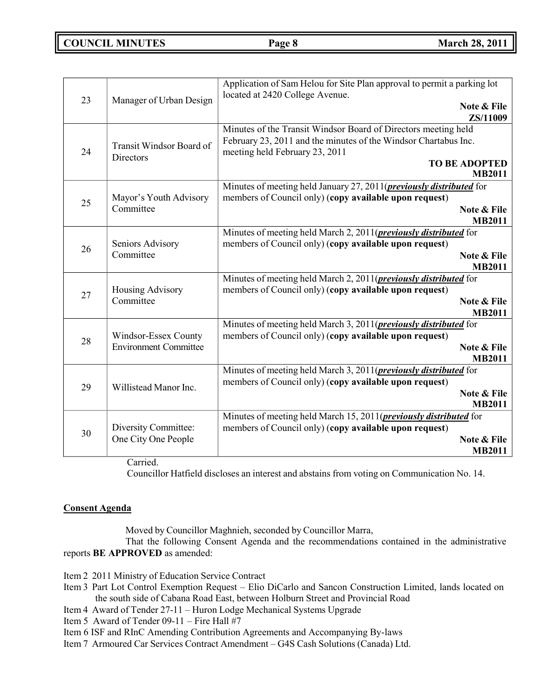## **COUNCIL MINUTES Page 8 March 28, 2011**

| 23 | Manager of Urban Design                              | Application of Sam Helou for Site Plan approval to permit a parking lot<br>located at 2420 College Avenue.<br>Note & File<br>ZS/11009                                                                        |
|----|------------------------------------------------------|--------------------------------------------------------------------------------------------------------------------------------------------------------------------------------------------------------------|
| 24 | Transit Windsor Board of<br>Directors                | Minutes of the Transit Windsor Board of Directors meeting held<br>February 23, 2011 and the minutes of the Windsor Chartabus Inc.<br>meeting held February 23, 2011<br><b>TO BE ADOPTED</b><br><b>MB2011</b> |
| 25 | Mayor's Youth Advisory<br>Committee                  | Minutes of meeting held January 27, 2011( <i>previously distributed</i> for<br>members of Council only) (copy available upon request)<br>Note & File<br><b>MB2011</b>                                        |
| 26 | Seniors Advisory<br>Committee                        | Minutes of meeting held March 2, 2011( <i>previously distributed</i> for<br>members of Council only) (copy available upon request)<br>Note & File<br><b>MB2011</b>                                           |
| 27 | Housing Advisory<br>Committee                        | Minutes of meeting held March 2, 2011( <i>previously distributed</i> for<br>members of Council only) (copy available upon request)<br>Note & File<br><b>MB2011</b>                                           |
| 28 | Windsor-Essex County<br><b>Environment Committee</b> | Minutes of meeting held March 3, 2011( <i>previously distributed</i> for<br>members of Council only) (copy available upon request)<br>Note & File<br><b>MB2011</b>                                           |
| 29 | Willistead Manor Inc.                                | Minutes of meeting held March 3, 2011( <i>previously distributed</i> for<br>members of Council only) (copy available upon request)<br>Note & File<br><b>MB2011</b>                                           |
| 30 | Diversity Committee:<br>One City One People          | Minutes of meeting held March 15, 2011( <i>previously distributed</i> for<br>members of Council only) (copy available upon request)<br>Note & File<br><b>MB2011</b>                                          |

Carried.

Councillor Hatfield discloses an interest and abstains from voting on Communication No. 14.

### **Consent Agenda**

Moved by Councillor Maghnieh, seconded by Councillor Marra,

That the following Consent Agenda and the recommendations contained in the administrative reports **BE APPROVED** as amended:

Item 2 2011 Ministry of Education Service Contract

- Item 3 Part Lot Control Exemption Request Elio DiCarlo and Sancon Construction Limited, lands located on the south side of Cabana Road East, between Holburn Street and Provincial Road
- Item 4 Award of Tender 27-11 Huron Lodge Mechanical Systems Upgrade
- Item 5 Award of Tender 09-11 Fire Hall #7
- Item 6 ISF and RInC Amending Contribution Agreements and Accompanying By-laws
- Item 7 Armoured Car Services Contract Amendment G4S Cash Solutions (Canada) Ltd.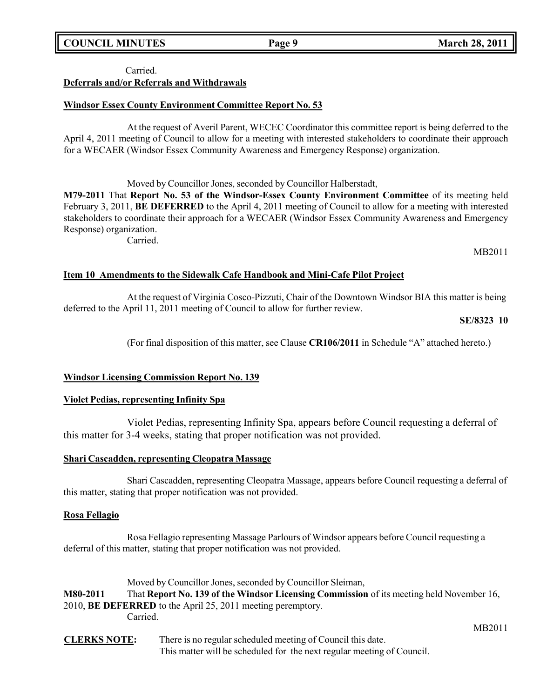## **COUNCIL MINUTES Page 9 March 28, 2011**

### Carried. **Deferrals and/or Referrals and Withdrawals**

### **Windsor Essex County Environment Committee Report No. 53**

At the request of Averil Parent, WECEC Coordinator this committee report is being deferred to the April 4, 2011 meeting of Council to allow for a meeting with interested stakeholders to coordinate their approach for a WECAER (Windsor Essex Community Awareness and Emergency Response) organization.

Moved by Councillor Jones, seconded by Councillor Halberstadt,

**M79-2011** That **Report No. 53 of the Windsor-Essex County Environment Committee** of its meeting held February 3, 2011, **BE DEFERRED** to the April 4, 2011 meeting of Council to allow for a meeting with interested stakeholders to coordinate their approach for a WECAER (Windsor Essex Community Awareness and Emergency Response) organization.

Carried.

MB2011

### **Item 10 Amendments to the Sidewalk Cafe Handbook and Mini-Cafe Pilot Project**

At the request of Virginia Cosco-Pizzuti, Chair of the Downtown Windsor BIA this matter is being deferred to the April 11, 2011 meeting of Council to allow for further review.

**SE/8323 10**

(For final disposition of this matter, see Clause **CR106/2011** in Schedule "A" attached hereto.)

### **Windsor Licensing Commission Report No. 139**

### **Violet Pedias, representing Infinity Spa**

Violet Pedias, representing Infinity Spa, appears before Council requesting a deferral of this matter for 3-4 weeks, stating that proper notification was not provided.

### **Shari Cascadden, representing Cleopatra Massage**

Shari Cascadden, representing Cleopatra Massage, appears before Council requesting a deferral of this matter, stating that proper notification was not provided.

### **Rosa Fellagio**

Rosa Fellagio representing Massage Parlours of Windsor appears before Council requesting a deferral of this matter, stating that proper notification was not provided.

Moved by Councillor Jones, seconded by Councillor Sleiman, **M80-2011** That **Report No. 139 of the Windsor Licensing Commission** of its meeting held November 16, 2010, **BE DEFERRED** to the April 25, 2011 meeting peremptory. Carried.

**CLERKS NOTE:** There is no regular scheduled meeting of Council this date. This matter will be scheduled for the next regular meeting of Council.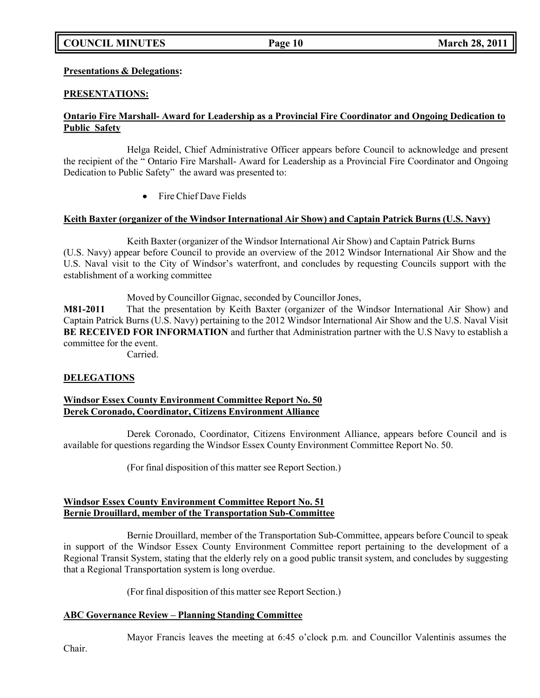## **COUNCIL MINUTES Page 10 March 28, 2011**

### **Presentations & Delegations:**

### **PRESENTATIONS:**

### **Ontario Fire Marshall- Award for Leadership as a Provincial Fire Coordinator and Ongoing Dedication to Public Safety**

Helga Reidel, Chief Administrative Officer appears before Council to acknowledge and present the recipient of the " Ontario Fire Marshall- Award for Leadership as a Provincial Fire Coordinator and Ongoing Dedication to Public Safety" the award was presented to:

Fire Chief Dave Fields

### **Keith Baxter (organizer of the Windsor International Air Show) and Captain Patrick Burns (U.S. Navy)**

Keith Baxter (organizer of the Windsor International Air Show) and Captain Patrick Burns (U.S. Navy) appear before Council to provide an overview of the 2012 Windsor International Air Show and the U.S. Naval visit to the City of Windsor's waterfront, and concludes by requesting Councils support with the establishment of a working committee

Moved by Councillor Gignac, seconded by Councillor Jones,

**M81-2011** That the presentation by Keith Baxter (organizer of the Windsor International Air Show) and Captain Patrick Burns (U.S. Navy) pertaining to the 2012 Windsor International Air Show and the U.S. Naval Visit **BE RECEIVED FOR INFORMATION** and further that Administration partner with the U.S Navy to establish a committee for the event.

Carried.

### **DELEGATIONS**

### **Windsor Essex County Environment Committee Report No. 50 Derek Coronado, Coordinator, Citizens Environment Alliance**

Derek Coronado, Coordinator, Citizens Environment Alliance, appears before Council and is available for questions regarding the Windsor Essex County Environment Committee Report No. 50.

(For final disposition of this matter see Report Section.)

### **Windsor Essex County Environment Committee Report No. 51 Bernie Drouillard, member of the Transportation Sub-Committee**

Bernie Drouillard, member of the Transportation Sub-Committee, appears before Council to speak in support of the Windsor Essex County Environment Committee report pertaining to the development of a Regional Transit System, stating that the elderly rely on a good public transit system, and concludes by suggesting that a Regional Transportation system is long overdue.

(For final disposition of this matter see Report Section.)

### **ABC Governance Review – Planning Standing Committee**

Mayor Francis leaves the meeting at 6:45 o'clock p.m. and Councillor Valentinis assumes the

Chair.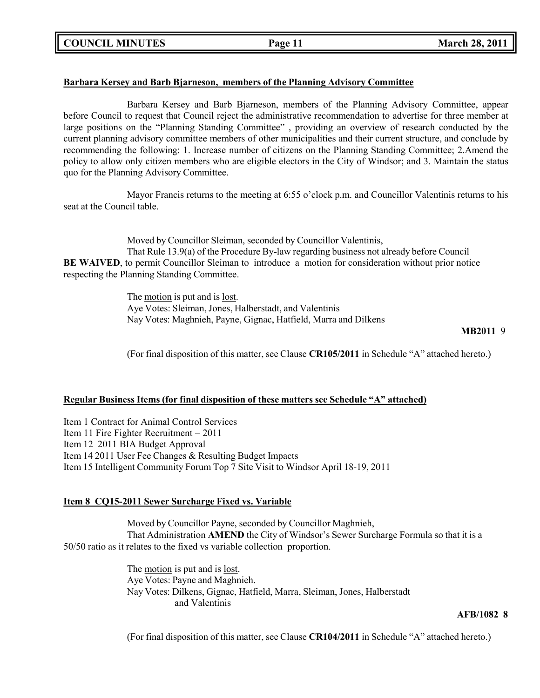### **Barbara Kersey and Barb Bjarneson, members of the Planning Advisory Committee**

Barbara Kersey and Barb Bjarneson, members of the Planning Advisory Committee, appear before Council to request that Council reject the administrative recommendation to advertise for three member at large positions on the "Planning Standing Committee" , providing an overview of research conducted by the current planning advisory committee members of other municipalities and their current structure, and conclude by recommending the following: 1. Increase number of citizens on the Planning Standing Committee; 2.Amend the policy to allow only citizen members who are eligible electors in the City of Windsor; and 3. Maintain the status quo for the Planning Advisory Committee.

Mayor Francis returns to the meeting at 6:55 o'clock p.m. and Councillor Valentinis returns to his seat at the Council table.

Moved by Councillor Sleiman, seconded by Councillor Valentinis, That Rule 13.9(a) of the Procedure By-law regarding business not already before Council **BE WAIVED**, to permit Councillor Sleiman to introduce a motion for consideration without prior notice respecting the Planning Standing Committee.

> The motion is put and is lost. Aye Votes: Sleiman, Jones, Halberstadt, and Valentinis Nay Votes: Maghnieh, Payne, Gignac, Hatfield, Marra and Dilkens

#### **MB2011** 9

(For final disposition of this matter, see Clause **CR105/2011** in Schedule "A" attached hereto.)

### **Regular Business Items (for final disposition of these matters see Schedule "A" attached)**

Item 1 Contract for Animal Control Services Item 11 Fire Fighter Recruitment – 2011 Item 12 2011 BIA Budget Approval Item 14 2011 User Fee Changes & Resulting Budget Impacts Item 15 Intelligent Community Forum Top 7 Site Visit to Windsor April 18-19, 2011

### **Item 8 CQ15-2011 Sewer Surcharge Fixed vs. Variable**

Moved by Councillor Payne, seconded by Councillor Maghnieh, That Administration **AMEND** the City of Windsor's Sewer Surcharge Formula so that it is a 50/50 ratio as it relates to the fixed vs variable collection proportion.

> The motion is put and is lost. Aye Votes: Payne and Maghnieh. Nay Votes: Dilkens, Gignac, Hatfield, Marra, Sleiman, Jones, Halberstadt and Valentinis

#### **AFB/1082 8**

(For final disposition of this matter, see Clause **CR104/2011** in Schedule "A" attached hereto.)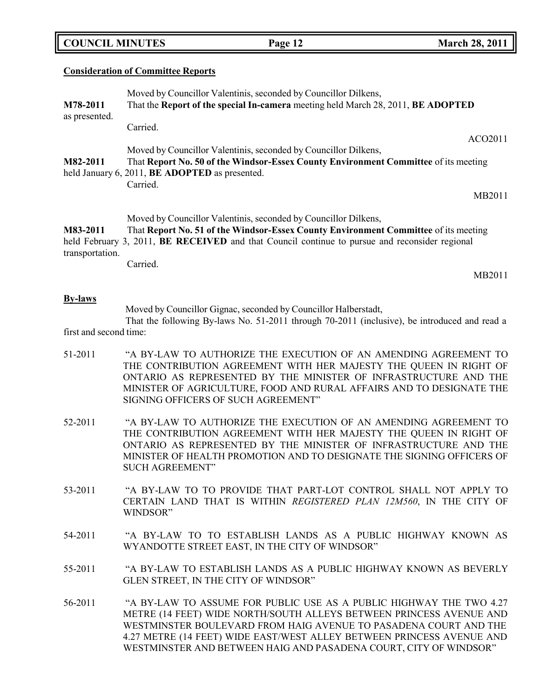| <b>COUNCIL MINUTES</b> |  |
|------------------------|--|
|------------------------|--|

#### **Consideration of Committee Reports**

| M78-2011<br>as presented. | Moved by Councillor Valentinis, seconded by Councillor Dilkens,<br>That the Report of the special In-camera meeting held March 28, 2011, BE ADOPTED |  |  |
|---------------------------|-----------------------------------------------------------------------------------------------------------------------------------------------------|--|--|
|                           | Carried.                                                                                                                                            |  |  |
|                           | ACO2011                                                                                                                                             |  |  |
|                           | Moved by Councillor Valentinis, seconded by Councillor Dilkens,                                                                                     |  |  |
| M82-2011                  | That Report No. 50 of the Windsor-Essex County Environment Committee of its meeting                                                                 |  |  |
|                           | held January 6, 2011, <b>BE ADOPTED</b> as presented.                                                                                               |  |  |
|                           | Carried.                                                                                                                                            |  |  |
|                           | MB2011                                                                                                                                              |  |  |
|                           | Moved by Councillor Valentinis, seconded by Councillor Dilkens,                                                                                     |  |  |
| M83-2011                  | That Report No. 51 of the Windsor-Essex County Environment Committee of its meeting                                                                 |  |  |
| transportation.           | held February 3, 2011, <b>BE RECEIVED</b> and that Council continue to pursue and reconsider regional                                               |  |  |

Carried.

MB2011

#### **By-laws**

Moved by Councillor Gignac, seconded by Councillor Halberstadt,

That the following By-laws No. 51-2011 through 70-2011 (inclusive), be introduced and read a first and second time:

- 51-2011 "A BY-LAW TO AUTHORIZE THE EXECUTION OF AN AMENDING AGREEMENT TO THE CONTRIBUTION AGREEMENT WITH HER MAJESTY THE QUEEN IN RIGHT OF ONTARIO AS REPRESENTED BY THE MINISTER OF INFRASTRUCTURE AND THE MINISTER OF AGRICULTURE, FOOD AND RURAL AFFAIRS AND TO DESIGNATE THE SIGNING OFFICERS OF SUCH AGREEMENT"
- 52-2011 "A BY-LAW TO AUTHORIZE THE EXECUTION OF AN AMENDING AGREEMENT TO THE CONTRIBUTION AGREEMENT WITH HER MAJESTY THE QUEEN IN RIGHT OF ONTARIO AS REPRESENTED BY THE MINISTER OF INFRASTRUCTURE AND THE MINISTER OF HEALTH PROMOTION AND TO DESIGNATE THE SIGNING OFFICERS OF SUCH AGREEMENT"
- 53-2011 "A BY-LAW TO TO PROVIDE THAT PART-LOT CONTROL SHALL NOT APPLY TO CERTAIN LAND THAT IS WITHIN *REGISTERED PLAN 12M560*, IN THE CITY OF WINDSOR"
- 54-2011 "A BY-LAW TO TO ESTABLISH LANDS AS A PUBLIC HIGHWAY KNOWN AS WYANDOTTE STREET EAST, IN THE CITY OF WINDSOR"
- 55-2011 "A BY-LAW TO ESTABLISH LANDS AS A PUBLIC HIGHWAY KNOWN AS BEVERLY GLEN STREET, IN THE CITY OF WINDSOR"
- 56-2011 "A BY-LAW TO ASSUME FOR PUBLIC USE AS A PUBLIC HIGHWAY THE TWO 4.27 METRE (14 FEET) WIDE NORTH/SOUTH ALLEYS BETWEEN PRINCESS AVENUE AND WESTMINSTER BOULEVARD FROM HAIG AVENUE TO PASADENA COURT AND THE 4.27 METRE (14 FEET) WIDE EAST/WEST ALLEY BETWEEN PRINCESS AVENUE AND WESTMINSTER AND BETWEEN HAIG AND PASADENA COURT, CITY OF WINDSOR"

**COUNCIL EXECUTE: COUNCIL EXECUTE: March** 28, 2011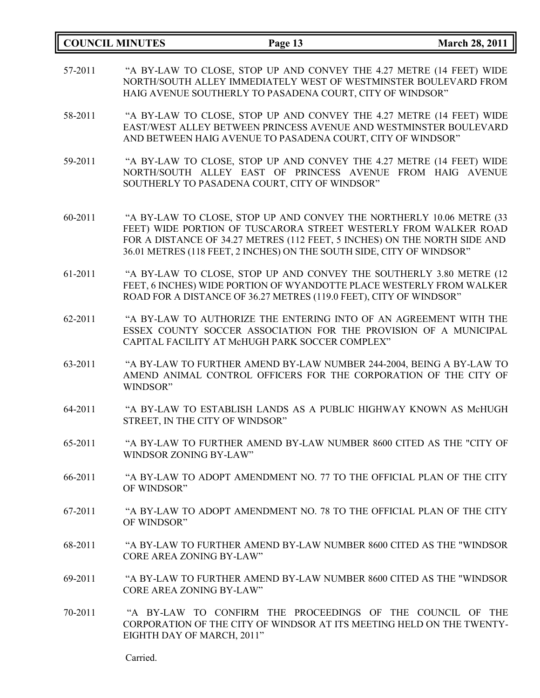|         | <b>COUNCIL MINUTES</b>          | Page 13                                                                                                                                                                                                                                                                                        | <b>March 28, 2011</b> |
|---------|---------------------------------|------------------------------------------------------------------------------------------------------------------------------------------------------------------------------------------------------------------------------------------------------------------------------------------------|-----------------------|
| 57-2011 |                                 | "A BY-LAW TO CLOSE, STOP UP AND CONVEY THE 4.27 METRE (14 FEET) WIDE<br>NORTH/SOUTH ALLEY IMMEDIATELY WEST OF WESTMINSTER BOULEVARD FROM<br>HAIG AVENUE SOUTHERLY TO PASADENA COURT, CITY OF WINDSOR"                                                                                          |                       |
| 58-2011 |                                 | "A BY-LAW TO CLOSE, STOP UP AND CONVEY THE 4.27 METRE (14 FEET) WIDE<br>EAST/WEST ALLEY BETWEEN PRINCESS AVENUE AND WESTMINSTER BOULEVARD<br>AND BETWEEN HAIG AVENUE TO PASADENA COURT, CITY OF WINDSOR"                                                                                       |                       |
| 59-2011 |                                 | "A BY-LAW TO CLOSE, STOP UP AND CONVEY THE 4.27 METRE (14 FEET) WIDE<br>NORTH/SOUTH ALLEY EAST OF PRINCESS AVENUE FROM HAIG AVENUE<br>SOUTHERLY TO PASADENA COURT, CITY OF WINDSOR"                                                                                                            |                       |
| 60-2011 |                                 | "A BY-LAW TO CLOSE, STOP UP AND CONVEY THE NORTHERLY 10.06 METRE (33<br>FEET) WIDE PORTION OF TUSCARORA STREET WESTERLY FROM WALKER ROAD<br>FOR A DISTANCE OF 34.27 METRES (112 FEET, 5 INCHES) ON THE NORTH SIDE AND<br>36.01 METRES (118 FEET, 2 INCHES) ON THE SOUTH SIDE, CITY OF WINDSOR" |                       |
| 61-2011 |                                 | "A BY-LAW TO CLOSE, STOP UP AND CONVEY THE SOUTHERLY 3.80 METRE (12<br>FEET, 6 INCHES) WIDE PORTION OF WYANDOTTE PLACE WESTERLY FROM WALKER<br>ROAD FOR A DISTANCE OF 36.27 METRES (119.0 FEET), CITY OF WINDSOR"                                                                              |                       |
| 62-2011 |                                 | "A BY-LAW TO AUTHORIZE THE ENTERING INTO OF AN AGREEMENT WITH THE<br>ESSEX COUNTY SOCCER ASSOCIATION FOR THE PROVISION OF A MUNICIPAL<br>CAPITAL FACILITY AT McHUGH PARK SOCCER COMPLEX"                                                                                                       |                       |
| 63-2011 | WINDSOR"                        | "A BY-LAW TO FURTHER AMEND BY-LAW NUMBER 244-2004, BEING A BY-LAW TO<br>AMEND ANIMAL CONTROL OFFICERS FOR THE CORPORATION OF THE CITY OF                                                                                                                                                       |                       |
| 64-2011 |                                 | "A BY-LAW TO ESTABLISH LANDS AS A PUBLIC HIGHWAY KNOWN AS McHUGH<br>STREET, IN THE CITY OF WINDSOR"                                                                                                                                                                                            |                       |
| 65-2011 | WINDSOR ZONING BY-LAW"          | "A BY-LAW TO FURTHER AMEND BY-LAW NUMBER 8600 CITED AS THE "CITY OF                                                                                                                                                                                                                            |                       |
| 66-2011 | OF WINDSOR"                     | "A BY-LAW TO ADOPT AMENDMENT NO. 77 TO THE OFFICIAL PLAN OF THE CITY                                                                                                                                                                                                                           |                       |
| 67-2011 | OF WINDSOR"                     | "A BY-LAW TO ADOPT AMENDMENT NO. 78 TO THE OFFICIAL PLAN OF THE CITY                                                                                                                                                                                                                           |                       |
| 68-2011 | <b>CORE AREA ZONING BY-LAW"</b> | "A BY-LAW TO FURTHER AMEND BY-LAW NUMBER 8600 CITED AS THE "WINDSOR                                                                                                                                                                                                                            |                       |
| 69-2011 | <b>CORE AREA ZONING BY-LAW"</b> | "A BY-LAW TO FURTHER AMEND BY-LAW NUMBER 8600 CITED AS THE "WINDSOR                                                                                                                                                                                                                            |                       |
| 70-2011 | EIGHTH DAY OF MARCH, 2011"      | "A BY-LAW TO CONFIRM THE PROCEEDINGS OF THE COUNCIL OF THE<br>CORPORATION OF THE CITY OF WINDSOR AT ITS MEETING HELD ON THE TWENTY-                                                                                                                                                            |                       |

Carried.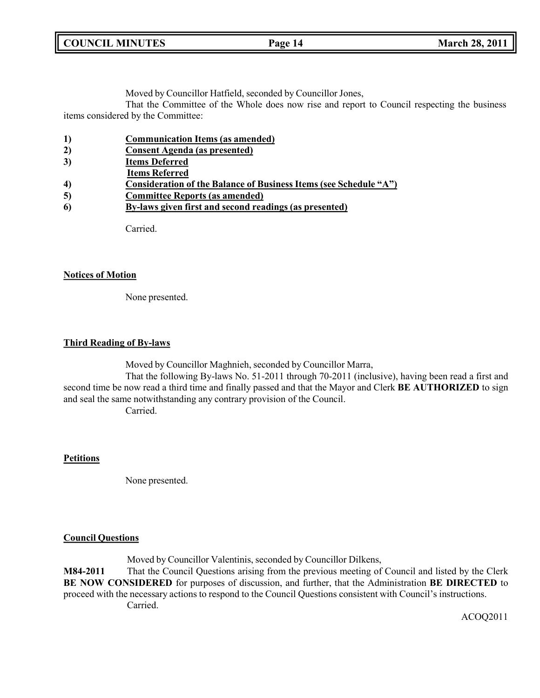| <b>COUNCIL MINUTES</b> |  |  |
|------------------------|--|--|
|------------------------|--|--|

Moved by Councillor Hatfield, seconded by Councillor Jones,

That the Committee of the Whole does now rise and report to Council respecting the business items considered by the Committee:

| 1)<br><b>Communication Items (as amended)</b> |
|-----------------------------------------------|
|-----------------------------------------------|

- **3) Items Deferred**
- **Items Referred**
- **4) Consideration of the Balance of Business Items (see Schedule "A")**
- **5) Committee Reports (as amended)**
- **6) By-laws given first and second readings (as presented)**

Carried.

#### **Notices of Motion**

None presented.

#### **Third Reading of By-laws**

Moved by Councillor Maghnieh, seconded by Councillor Marra,

That the following By-laws No. 51-2011 through 70-2011 (inclusive), having been read a first and second time be now read a third time and finally passed and that the Mayor and Clerk **BE AUTHORIZED** to sign and seal the same notwithstanding any contrary provision of the Council. Carried.

### **Petitions**

None presented.

### **Council Questions**

Moved by Councillor Valentinis, seconded by Councillor Dilkens,

**M84-2011** That the Council Questions arising from the previous meeting of Council and listed by the Clerk **BE NOW CONSIDERED** for purposes of discussion, and further, that the Administration **BE DIRECTED** to proceed with the necessary actions to respond to the Council Questions consistent with Council's instructions. Carried.

ACOQ2011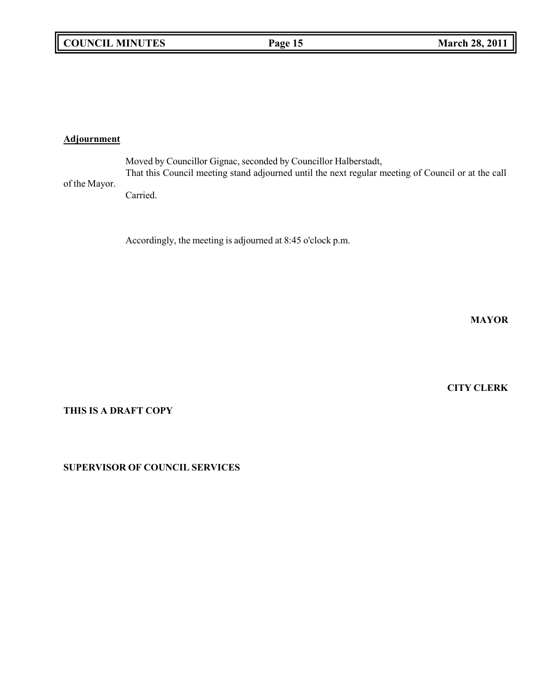## **Adjournment**

of the Mayor. Moved by Councillor Gignac, seconded by Councillor Halberstadt, That this Council meeting stand adjourned until the next regular meeting of Council or at the call Carried.

Accordingly, the meeting is adjourned at 8:45 o'clock p.m.

**MAYOR**

**CITY CLERK**

**THIS IS A DRAFT COPY**

**SUPERVISOR OF COUNCIL SERVICES**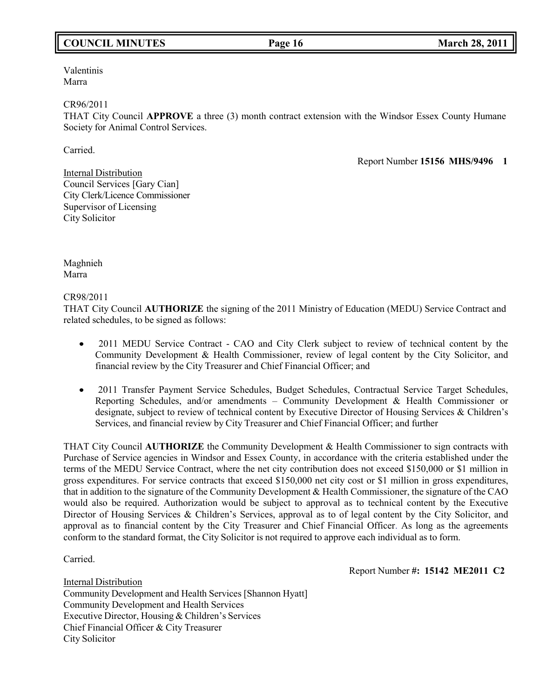## **COUNCIL MINUTES Page 16 March 28, 2011**

Valentinis Marra

CR96/2011

THAT City Council **APPROVE** a three (3) month contract extension with the Windsor Essex County Humane Society for Animal Control Services.

Carried.

Report Number **15156 MHS/9496 1**

Internal Distribution Council Services [Gary Cian] City Clerk/Licence Commissioner Supervisor of Licensing City Solicitor

Maghnieh Marra

CR98/2011

THAT City Council **AUTHORIZE** the signing of the 2011 Ministry of Education (MEDU) Service Contract and related schedules, to be signed as follows:

- 2011 MEDU Service Contract CAO and City Clerk subject to review of technical content by the  $\bullet$ Community Development & Health Commissioner, review of legal content by the City Solicitor, and financial review by the City Treasurer and Chief Financial Officer; and
- 2011 Transfer Payment Service Schedules, Budget Schedules, Contractual Service Target Schedules,  $\bullet$ Reporting Schedules, and/or amendments – Community Development & Health Commissioner or designate, subject to review of technical content by Executive Director of Housing Services & Children's Services, and financial review by City Treasurer and Chief Financial Officer; and further

THAT City Council **AUTHORIZE** the Community Development & Health Commissioner to sign contracts with Purchase of Service agencies in Windsor and Essex County, in accordance with the criteria established under the terms of the MEDU Service Contract, where the net city contribution does not exceed \$150,000 or \$1 million in gross expenditures. For service contracts that exceed \$150,000 net city cost or \$1 million in gross expenditures, that in addition to the signature of the Community Development & Health Commissioner, the signature of the CAO would also be required. Authorization would be subject to approval as to technical content by the Executive Director of Housing Services & Children's Services, approval as to of legal content by the City Solicitor, and approval as to financial content by the City Treasurer and Chief Financial Officer. As long as the agreements conform to the standard format, the City Solicitor is not required to approve each individual as to form.

Carried.

Report Number **#: 15142 ME2011 C2**

Internal Distribution Community Development and Health Services [Shannon Hyatt] Community Development and Health Services Executive Director, Housing & Children's Services Chief Financial Officer & City Treasurer City Solicitor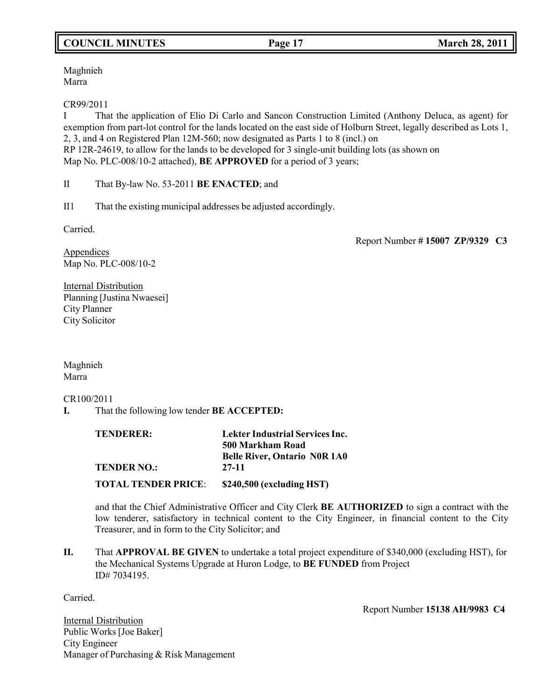## **COUNCIL MINUTES Page 17 March 28, 2011**

Maghnieh Marra

CR99/2011

I That the application of Elio Di Carlo and Sancon Construction Limited (Anthony Deluca, as agent) for exemption from part-lot control for the lands located on the east side of Holburn Street, legally described as Lots 1, 2, 3, and 4 on Registered Plan 12M-560; now designated as Parts 1 to 8 (incl.) on RP 12R-24619, to allow for the lands to be developed for 3 single-unit building lots (as shown on Map No. PLC-008/10-2 attached), **BE APPROVED** for a period of 3 years;

II That By-law No. 53-2011 **BE ENACTED**; and

II1 That the existing municipal addresses be adjusted accordingly.

Carried.

Report Number **# 15007 ZP/9329 C3**

Appendices Map No. PLC-008/10-2

**Internal Distribution** Planning [Justina Nwaesei] City Planner City Solicitor

Maghnieh Marra

CR100/2011

**I.** That the following low tender **BE ACCEPTED:**

| TENDERER:                  | <b>Lekter Industrial Services Inc.</b>       |  |
|----------------------------|----------------------------------------------|--|
|                            | 500 Markham Road                             |  |
| <b>TENDER NO.:</b>         | <b>Belle River, Ontario NOR 1A0</b><br>27-11 |  |
| <b>TOTAL TENDER PRICE:</b> | $$240,500$ (excluding HST)                   |  |

and that the Chief Administrative Officer and City Clerk **BE AUTHORIZED** to sign a contract with the low tenderer, satisfactory in technical content to the City Engineer, in financial content to the City Treasurer, and in form to the City Solicitor; and

**II.** That **APPROVAL BE GIVEN** to undertake a total project expenditure of \$340,000 (excluding HST), for the Mechanical Systems Upgrade at Huron Lodge, to **BE FUNDED** from Project ID# 7034195.

Carried.

Report Number **15138 AH/9983 C4**

**Internal Distribution** Public Works [Joe Baker] City Engineer Manager of Purchasing & Risk Management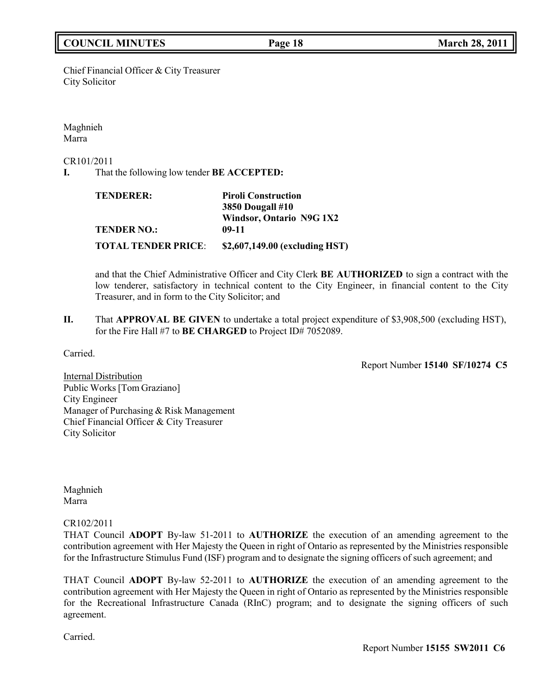## **COUNCIL MINUTES Page 18 March 28, 2011**

Chief Financial Officer & City Treasurer City Solicitor

Maghnieh Marra

CR101/2011

**I.** That the following low tender **BE ACCEPTED:**

| <b>TENDERER:</b>           | <b>Piroli Construction</b>     |  |
|----------------------------|--------------------------------|--|
|                            | <b>3850 Dougall #10</b>        |  |
|                            | Windsor, Ontario N9G 1X2       |  |
| <b>TENDER NO.:</b>         | $09-11$                        |  |
| <b>TOTAL TENDER PRICE:</b> | \$2,607,149.00 (excluding HST) |  |

and that the Chief Administrative Officer and City Clerk **BE AUTHORIZED** to sign a contract with the low tenderer, satisfactory in technical content to the City Engineer, in financial content to the City Treasurer, and in form to the City Solicitor; and

**II.** That **APPROVAL BE GIVEN** to undertake a total project expenditure of \$3,908,500 (excluding HST), for the Fire Hall #7 to **BE CHARGED** to Project ID# 7052089.

Carried.

Report Number **15140 SF/10274 C5**

Internal Distribution Public Works [Tom Graziano] City Engineer Manager of Purchasing & Risk Management Chief Financial Officer & City Treasurer City Solicitor

Maghnieh Marra

CR102/2011

THAT Council **ADOPT** By-law 51-2011 to **AUTHORIZE** the execution of an amending agreement to the contribution agreement with Her Majesty the Queen in right of Ontario as represented by the Ministries responsible for the Infrastructure Stimulus Fund (ISF) program and to designate the signing officers of such agreement; and

THAT Council **ADOPT** By-law 52-2011 to **AUTHORIZE** the execution of an amending agreement to the contribution agreement with Her Majesty the Queen in right of Ontario as represented by the Ministries responsible for the Recreational Infrastructure Canada (RInC) program; and to designate the signing officers of such agreement.

Carried.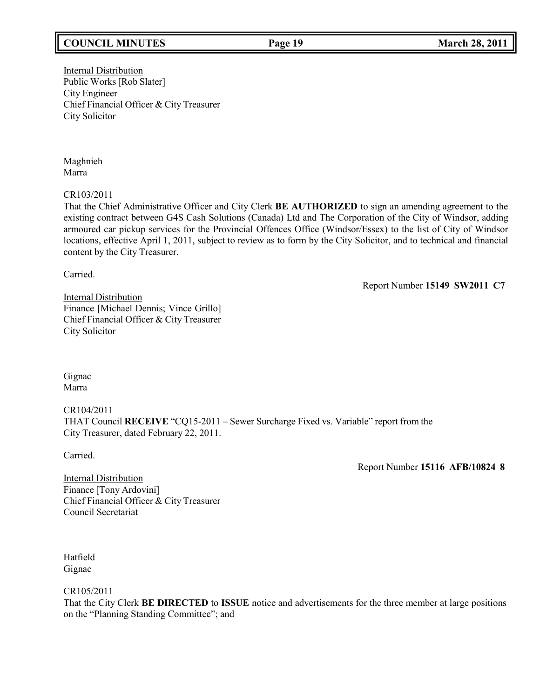## **COUNCIL MINUTES Page 19 March 28, 2011**

**Internal Distribution** Public Works [Rob Slater] City Engineer Chief Financial Officer & City Treasurer City Solicitor

Maghnieh Marra

CR103/2011

That the Chief Administrative Officer and City Clerk **BE AUTHORIZED** to sign an amending agreement to the existing contract between G4S Cash Solutions (Canada) Ltd and The Corporation of the City of Windsor, adding armoured car pickup services for the Provincial Offences Office (Windsor/Essex) to the list of City of Windsor locations, effective April 1, 2011, subject to review as to form by the City Solicitor, and to technical and financial content by the City Treasurer.

Carried.

Report Number **15149 SW2011 C7**

Internal Distribution Finance [Michael Dennis; Vince Grillo] Chief Financial Officer & City Treasurer City Solicitor

Gignac Marra

CR104/2011 THAT Council **RECEIVE** "CQ15-2011 – Sewer Surcharge Fixed vs. Variable" report from the City Treasurer, dated February 22, 2011.

Carried.

Report Number **15116 AFB/10824 8**

Internal Distribution Finance [Tony Ardovini] Chief Financial Officer & City Treasurer Council Secretariat

Hatfield Gignac

CR105/2011

That the City Clerk **BE DIRECTED** to **ISSUE** notice and advertisements for the three member at large positions on the "Planning Standing Committee"; and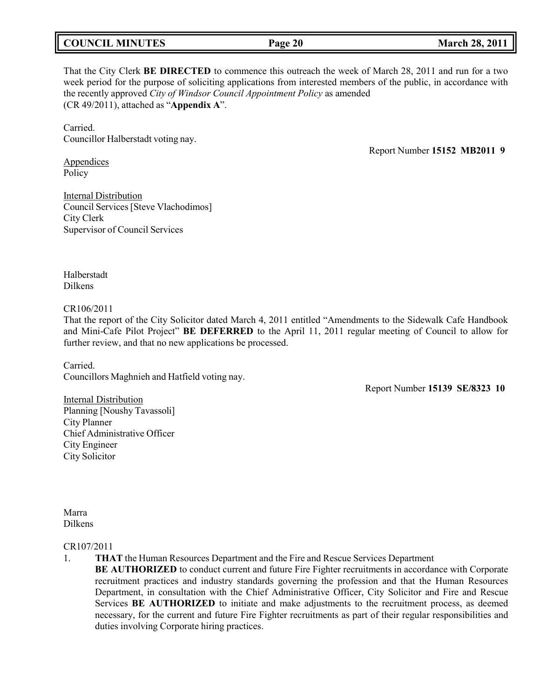# **COUNCIL MINUTES Page 20 March 28, 2011**

That the City Clerk **BE DIRECTED** to commence this outreach the week of March 28, 2011 and run for a two week period for the purpose of soliciting applications from interested members of the public, in accordance with the recently approved *City of Windsor Council Appointment Policy* as amended (CR 49/2011), attached as "**Appendix A**".

Carried. Councillor Halberstadt voting nay.

Report Number **15152 MB2011 9**

Appendices Policy

Internal Distribution Council Services[Steve Vlachodimos] City Clerk Supervisor of Council Services

Halberstadt Dilkens

CR106/2011

That the report of the City Solicitor dated March 4, 2011 entitled "Amendments to the Sidewalk Cafe Handbook and Mini-Cafe Pilot Project" **BE DEFERRED** to the April 11, 2011 regular meeting of Council to allow for further review, and that no new applications be processed.

Carried. Councillors Maghnieh and Hatfield voting nay.

Report Number **15139 SE/8323 10**

Internal Distribution Planning [Noushy Tavassoli] City Planner Chief Administrative Officer City Engineer City Solicitor

Marra Dilkens

#### CR107/2011

1. **THAT** the Human Resources Department and the Fire and Rescue Services Department

**BE AUTHORIZED** to conduct current and future Fire Fighter recruitments in accordance with Corporate recruitment practices and industry standards governing the profession and that the Human Resources Department, in consultation with the Chief Administrative Officer, City Solicitor and Fire and Rescue Services **BE AUTHORIZED** to initiate and make adjustments to the recruitment process, as deemed necessary, for the current and future Fire Fighter recruitments as part of their regular responsibilities and duties involving Corporate hiring practices.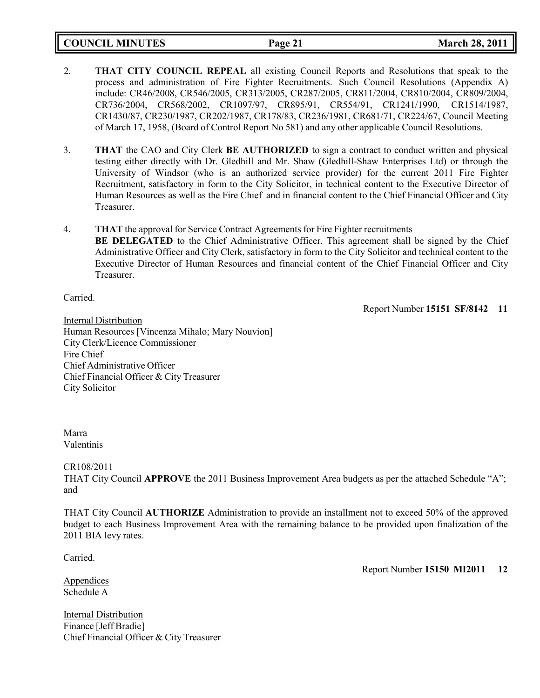**COUNCIL MINUTES Page 21 March 28, 2011**

- 2. **THAT CITY COUNCIL REPEAL** all existing Council Reports and Resolutions that speak to the process and administration of Fire Fighter Recruitments. Such Council Resolutions (Appendix A) include: CR46/2008, CR546/2005, CR313/2005, CR287/2005, CR811/2004, CR810/2004, CR809/2004, CR736/2004, CR568/2002, CR1097/97, CR895/91, CR554/91, CR1241/1990, CR1514/1987, CR1430/87, CR230/1987, CR202/1987, CR178/83, CR236/1981, CR681/71, CR224/67, Council Meeting of March 17, 1958, (Board of Control Report No 581) and any other applicable Council Resolutions.
- 3. **THAT** the CAO and City Clerk **BE AUTHORIZED** to sign a contract to conduct written and physical testing either directly with Dr. Gledhill and Mr. Shaw (Gledhill-Shaw Enterprises Ltd) or through the University of Windsor (who is an authorized service provider) for the current 2011 Fire Fighter Recruitment, satisfactory in form to the City Solicitor, in technical content to the Executive Director of Human Resources as well as the Fire Chief and in financial content to the Chief Financial Officer and City Treasurer.
- 4. **THAT** the approval for Service Contract Agreements for Fire Fighter recruitments **BE DELEGATED** to the Chief Administrative Officer. This agreement shall be signed by the Chief Administrative Officer and City Clerk, satisfactory in form to the City Solicitor and technical content to the Executive Director of Human Resources and financial content of the Chief Financial Officer and City Treasurer.

Carried.

Report Number **15151 SF/8142 11**

Internal Distribution Human Resources [Vincenza Mihalo; Mary Nouvion] City Clerk/Licence Commissioner Fire Chief Chief Administrative Officer Chief Financial Officer & City Treasurer City Solicitor

### Marra Valentinis

### CR108/2011

THAT City Council **APPROVE** the 2011 Business Improvement Area budgets as per the attached Schedule "A"; and

THAT City Council **AUTHORIZE** Administration to provide an installment not to exceed 50% of the approved budget to each Business Improvement Area with the remaining balance to be provided upon finalization of the 2011 BIA levy rates.

Carried.

Report Number **15150 MI2011 12**

Appendices Schedule A

**Internal Distribution** Finance [Jeff Bradie] Chief Financial Officer & City Treasurer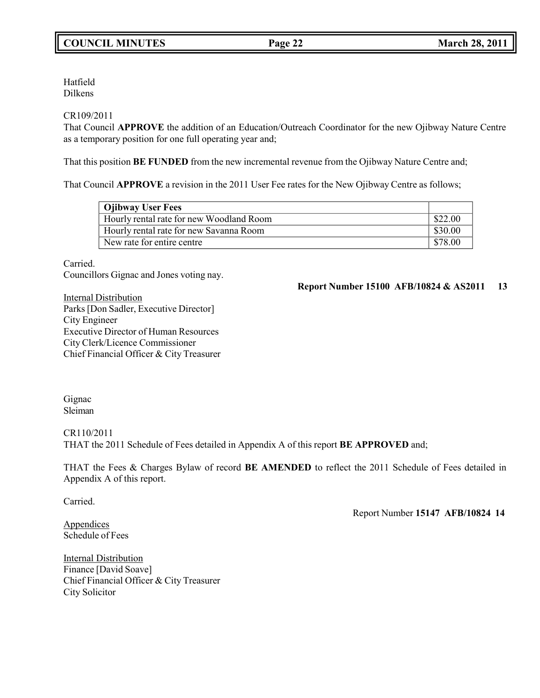Hatfield Dilkens

### CR109/2011

That Council **APPROVE** the addition of an Education/Outreach Coordinator for the new Ojibway Nature Centre as a temporary position for one full operating year and;

That this position **BE FUNDED** from the new incremental revenue from the Ojibway Nature Centre and;

That Council **APPROVE** a revision in the 2011 User Fee rates for the New Ojibway Centre as follows;

| <b>Ojibway User Fees</b>                 |         |
|------------------------------------------|---------|
| Hourly rental rate for new Woodland Room | \$22.00 |
| Hourly rental rate for new Savanna Room  | \$30.00 |
| New rate for entire centre               | \$78.00 |

Carried.

Councillors Gignac and Jones voting nay.

**Report Number 15100 AFB/10824 & AS2011 13**

Internal Distribution Parks [Don Sadler, Executive Director] City Engineer Executive Director of Human Resources City Clerk/Licence Commissioner Chief Financial Officer & City Treasurer

Gignac Sleiman

CR110/2011 THAT the 2011 Schedule of Fees detailed in Appendix A of this report **BE APPROVED** and;

THAT the Fees & Charges Bylaw of record **BE AMENDED** to reflect the 2011 Schedule of Fees detailed in Appendix A of this report.

Carried.

**Appendices** Schedule of Fees Report Number **15147 AFB/10824 14**

Internal Distribution Finance [David Soave] Chief Financial Officer & City Treasurer City Solicitor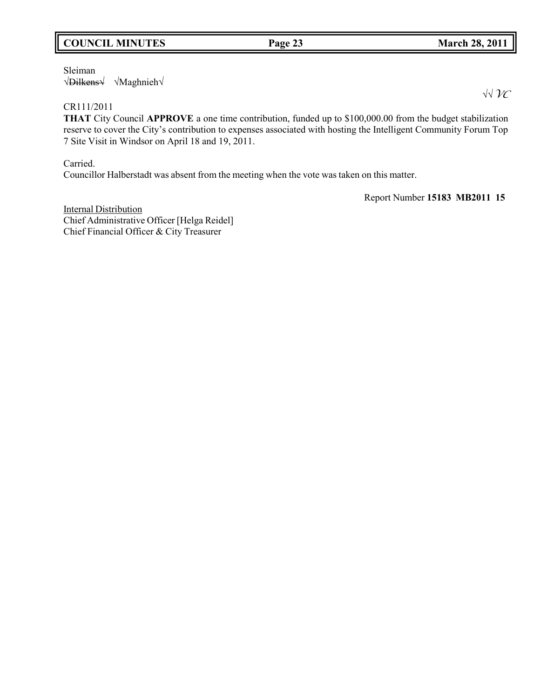## **COUNCIL MINUTES Page 23 March 28, 2011**

Sleiman √Dilkens√ √Maghnieh√

## CR111/2011

**THAT** City Council **APPROVE** a one time contribution, funded up to \$100,000.00 from the budget stabilization reserve to cover the City's contribution to expenses associated with hosting the Intelligent Community Forum Top 7 Site Visit in Windsor on April 18 and 19, 2011.

Carried.

Councillor Halberstadt was absent from the meeting when the vote was taken on this matter.

Report Number **15183 MB2011 15**

Internal Distribution Chief Administrative Officer [Helga Reidel] Chief Financial Officer & City Treasurer

√√*VC*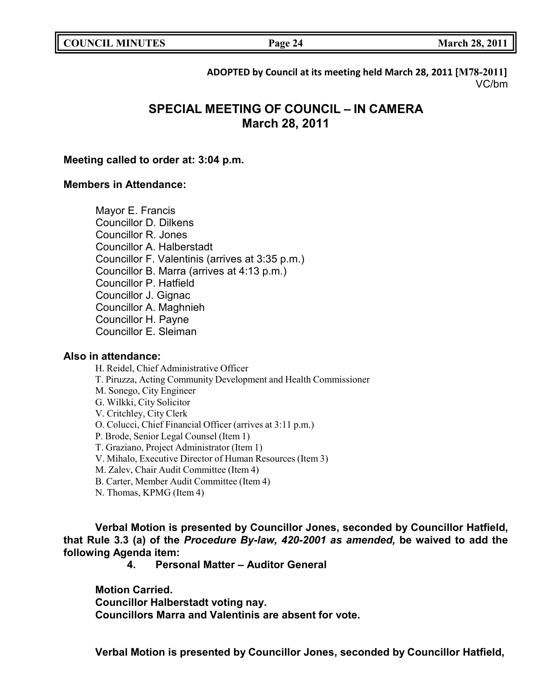**COUNCIL EXECUTE: COUNCIL EXECUTE: March** 28, 2011

**ADOPTED by Council at its meeting held March 28, 2011 [M78-2011]** VC/bm

# **SPECIAL MEETING OF COUNCIL – IN CAMERA March 28, 2011**

### **Meeting called to order at: 3:04 p.m.**

### **Members in Attendance:**

Mayor E. Francis Councillor D. Dilkens Councillor R. Jones Councillor A. Halberstadt Councillor F. Valentinis (arrives at 3:35 p.m.) Councillor B. Marra (arrives at 4:13 p.m.) Councillor P. Hatfield Councillor J. Gignac Councillor A. Maghnieh Councillor H. Payne Councillor E. Sleiman

### **Also in attendance:**

H. Reidel, Chief Administrative Officer T. Piruzza, Acting Community Development and Health Commissioner M. Sonego, City Engineer G. Wilkki, City Solicitor V. Critchley, City Clerk O. Colucci, Chief Financial Officer (arrives at 3:11 p.m.) P. Brode, Senior Legal Counsel (Item 1) T. Graziano, Project Administrator (Item 1) V. Mihalo, Executive Director of Human Resources (Item 3) M. Zalev, Chair Audit Committee (Item 4) B. Carter, Member Audit Committee (Item 4) N. Thomas, KPMG (Item 4)

**Verbal Motion is presented by Councillor Jones, seconded by Councillor Hatfield, that Rule 3.3 (a) of the** *Procedure By-law, 420-2001 as amended,* **be waived to add the following Agenda item:**

**4. Personal Matter – Auditor General**

**Motion Carried.**

**Councillor Halberstadt voting nay.**

**Councillors Marra and Valentinis are absent for vote.**

**Verbal Motion is presented by Councillor Jones, seconded by Councillor Hatfield,**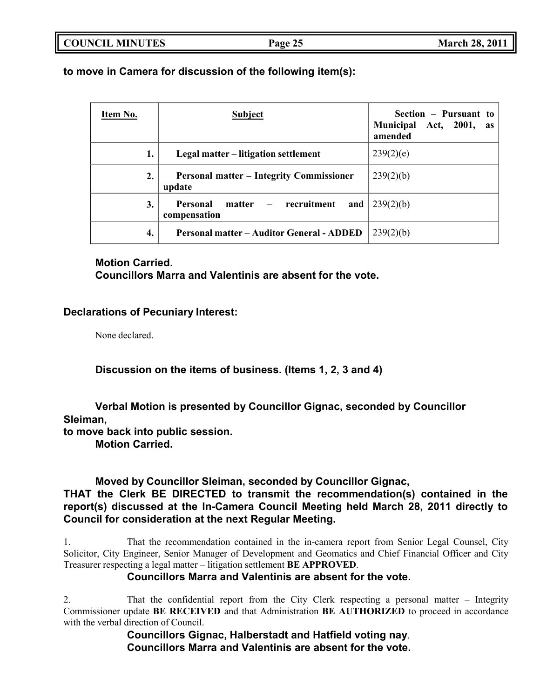**to move in Camera for discussion of the following item(s):**

| Item No. | <b>Subject</b>                                            | Section – Pursuant to<br>Municipal Act, 2001,<br><b>as</b><br>amended |
|----------|-----------------------------------------------------------|-----------------------------------------------------------------------|
| 1.       | Legal matter – litigation settlement                      | 239(2)(e)                                                             |
| 2.       | <b>Personal matter – Integrity Commissioner</b><br>update | 239(2)(b)                                                             |
| 3.       | matter – recruitment<br>Personal<br>and  <br>compensation | 239(2)(b)                                                             |
| 4.       | <b>Personal matter – Auditor General - ADDED</b>          | 239(2)(b)                                                             |

## **Motion Carried.**

**Councillors Marra and Valentinis are absent for the vote.**

## **Declarations of Pecuniary Interest:**

None declared.

**Discussion on the items of business. (Items 1, 2, 3 and 4)**

**Verbal Motion is presented by Councillor Gignac, seconded by Councillor Sleiman,**

**to move back into public session.**

**Motion Carried.**

## **Moved by Councillor Sleiman, seconded by Councillor Gignac,**

## **THAT the Clerk BE DIRECTED to transmit the recommendation(s) contained in the report(s) discussed at the In-Camera Council Meeting held March 28, 2011 directly to Council for consideration at the next Regular Meeting.**

1. That the recommendation contained in the in-camera report from Senior Legal Counsel, City Solicitor, City Engineer, Senior Manager of Development and Geomatics and Chief Financial Officer and City Treasurer respecting a legal matter – litigation settlement **BE APPROVED**.

## **Councillors Marra and Valentinis are absent for the vote.**

2. That the confidential report from the City Clerk respecting a personal matter – Integrity Commissioner update **BE RECEIVED** and that Administration **BE AUTHORIZED** to proceed in accordance with the verbal direction of Council.

**Councillors Gignac, Halberstadt and Hatfield voting nay**. **Councillors Marra and Valentinis are absent for the vote.**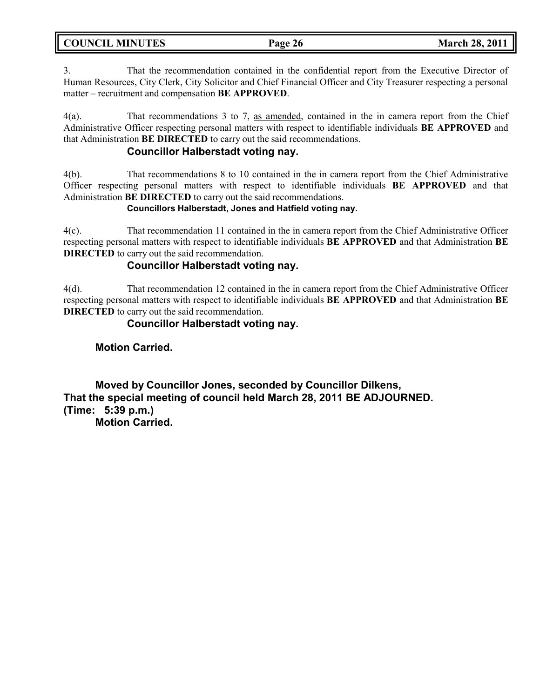| <b>COUNCIL MINUTES</b> |  |  |
|------------------------|--|--|
|------------------------|--|--|

3. That the recommendation contained in the confidential report from the Executive Director of Human Resources, City Clerk, City Solicitor and Chief Financial Officer and City Treasurer respecting a personal matter – recruitment and compensation **BE APPROVED**.

4(a). That recommendations 3 to 7, as amended, contained in the in camera report from the Chief Administrative Officer respecting personal matters with respect to identifiable individuals **BE APPROVED** and that Administration **BE DIRECTED** to carry out the said recommendations.

## **Councillor Halberstadt voting nay.**

4(b). That recommendations 8 to 10 contained in the in camera report from the Chief Administrative Officer respecting personal matters with respect to identifiable individuals **BE APPROVED** and that Administration **BE DIRECTED** to carry out the said recommendations.

### **Councillors Halberstadt, Jones and Hatfield voting nay.**

4(c). That recommendation 11 contained in the in camera report from the Chief Administrative Officer respecting personal matters with respect to identifiable individuals **BE APPROVED** and that Administration **BE DIRECTED** to carry out the said recommendation.

## **Councillor Halberstadt voting nay.**

4(d). That recommendation 12 contained in the in camera report from the Chief Administrative Officer respecting personal matters with respect to identifiable individuals **BE APPROVED** and that Administration **BE DIRECTED** to carry out the said recommendation.

## **Councillor Halberstadt voting nay.**

## **Motion Carried.**

**Moved by Councillor Jones, seconded by Councillor Dilkens, That the special meeting of council held March 28, 2011 BE ADJOURNED. (Time: 5:39 p.m.) Motion Carried.**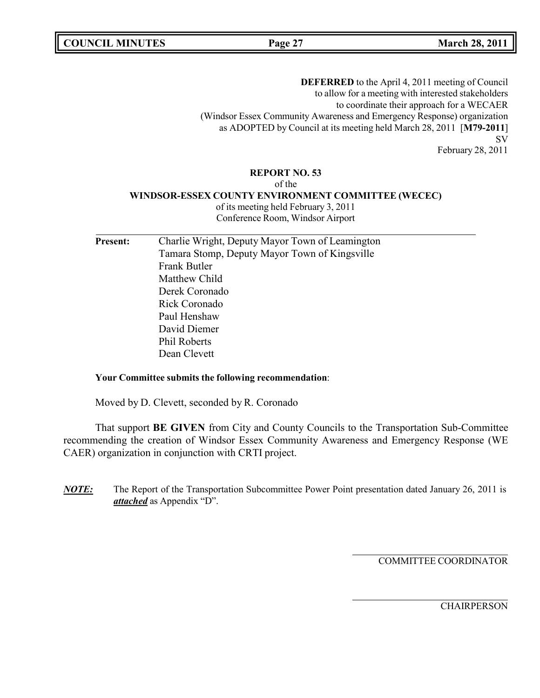**COUNCIL MINUTES Page 27 March 28, 2011**

**DEFERRED** to the April 4, 2011 meeting of Council to allow for a meeting with interested stakeholders to coordinate their approach for a WECAER (Windsor Essex Community Awareness and Emergency Response) organization as ADOPTED by Council at its meeting held March 28, 2011 [**M79-2011**] SV

February 28, 2011

#### **REPORT NO. 53**

of the

#### **WINDSOR-ESSEX COUNTY ENVIRONMENT COMMITTEE (WECEC)**

of its meeting held February 3, 2011 Conference Room, Windsor Airport

| <b>Present:</b> | Charlie Wright, Deputy Mayor Town of Leamington |
|-----------------|-------------------------------------------------|
|                 | Tamara Stomp, Deputy Mayor Town of Kingsville   |
|                 | Frank Butler                                    |
|                 | Matthew Child                                   |
|                 | Derek Coronado                                  |
|                 | Rick Coronado                                   |
|                 | Paul Henshaw                                    |
|                 | David Diemer                                    |
|                 | <b>Phil Roberts</b>                             |
|                 | Dean Clevett                                    |
|                 |                                                 |

#### **Your Committee submits the following recommendation**:

Moved by D. Clevett, seconded by R. Coronado

That support **BE GIVEN** from City and County Councils to the Transportation Sub-Committee recommending the creation of Windsor Essex Community Awareness and Emergency Response (WE CAER) organization in conjunction with CRTI project.

*NOTE:* The Report of the Transportation Subcommittee Power Point presentation dated January 26, 2011 is *attached* as Appendix "D".

COMMITTEE COORDINATOR

**CHAIRPERSON**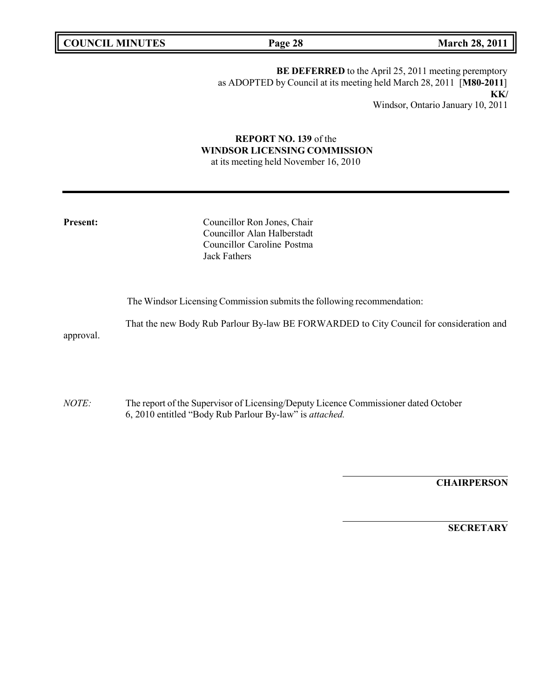**COUNCIL MINUTES Page 28 March 28, 2011**

**BE DEFERRED** to the April 25, 2011 meeting peremptory as ADOPTED by Council at its meeting held March 28, 2011 [**M80-2011**] **KK/** Windsor, Ontario January 10, 2011

# **REPORT NO. 139** of the **WINDSOR LICENSING COMMISSION**

at its meeting held November 16, 2010

**Councillor Ron Jones, Chair** Councillor Alan Halberstadt Councillor Caroline Postma Jack Fathers

The Windsor Licensing Commission submits the following recommendation:

That the new Body Rub Parlour By-law BE FORWARDED to City Council for consideration and approval.

*NOTE:* The report of the Supervisor of Licensing/Deputy Licence Commissioner dated October 6, 2010 entitled "Body Rub Parlour By-law" is *attached.*

**CHAIRPERSON**

**SECRETARY**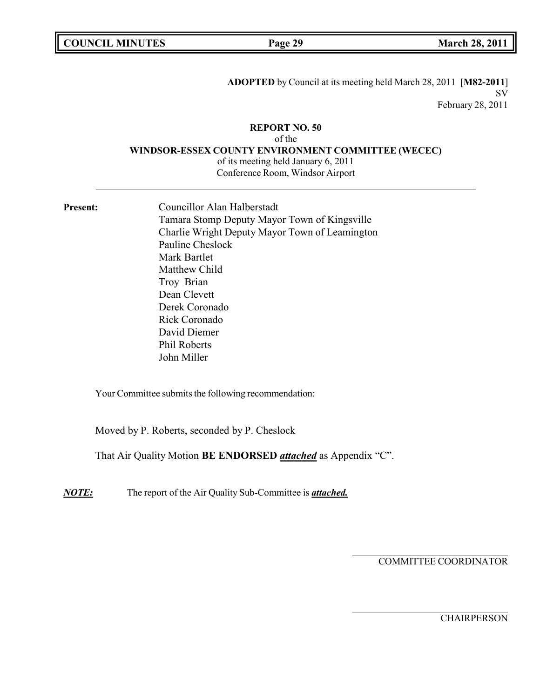|  | <b>COUNCIL MINUTES</b> |
|--|------------------------|
|--|------------------------|

**ADOPTED** by Council at its meeting held March 28, 2011 [**M82-2011**] SV February 28, 2011

#### **REPORT NO. 50**

of the

**WINDSOR-ESSEX COUNTY ENVIRONMENT COMMITTEE (WECEC)**

of its meeting held January 6, 2011 Conference Room, Windsor Airport

Present: Councillor Alan Halberstadt Tamara Stomp Deputy Mayor Town of Kingsville Charlie Wright Deputy Mayor Town of Leamington Pauline Cheslock Mark Bartlet Matthew Child Troy Brian Dean Clevett Derek Coronado Rick Coronado David Diemer Phil Roberts John Miller

Your Committee submits the following recommendation:

Moved by P. Roberts, seconded by P. Cheslock

That Air Quality Motion **BE ENDORSED** *attached* as Appendix "C".

*NOTE:* The report of the Air Quality Sub-Committee is *attached.*

COMMITTEE COORDINATOR

**CHAIRPERSON**